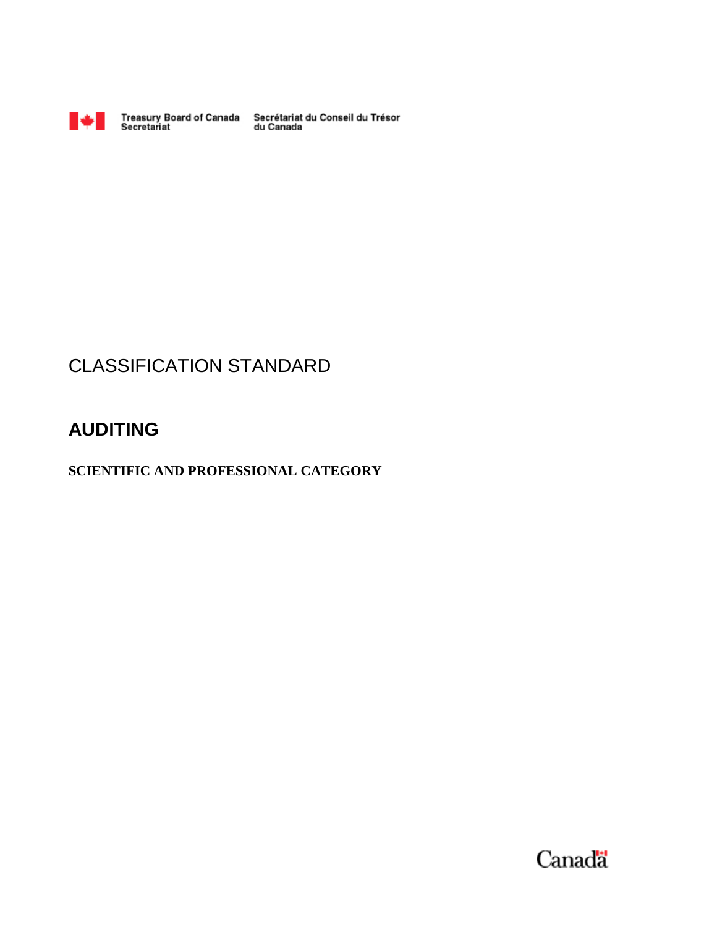

Treasury Board of Canada Secrétariat du Conseil du Trésor<br>Secretariat du Canada

## CLASSIFICATION STANDARD

### **AUDITING**

**SCIENTIFIC AND PROFESSIONAL CATEGORY** 

Canada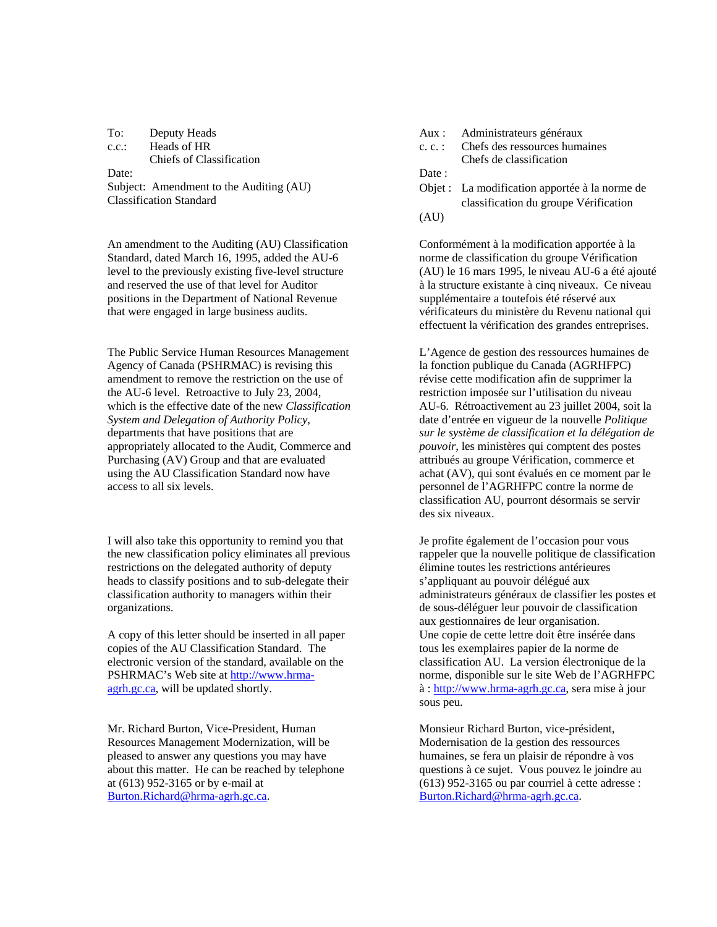To: Deputy Heads **Aux** : Administrateurs généraux c.c.: Heads of HR Chiefs of Classification Date: Date: Subject: Amendment to the Auditing (AU) Classification Standard

An amendment to the Auditing (AU) Classification Standard, dated March 16, 1995, added the AU-6 level to the previously existing five-level structure and reserved the use of that level for Auditor positions in the Department of National Revenue that were engaged in large business audits.

The Public Service Human Resources Management Agency of Canada (PSHRMAC) is revising this amendment to remove the restriction on the use of the AU-6 level. Retroactive to July 23, 2004, which is the effective date of the new *Classification System and Delegation of Authority Policy*, departments that have positions that are appropriately allocated to the Audit, Commerce and Purchasing (AV) Group and that are evaluated using the AU Classification Standard now have access to all six levels.

I will also take this opportunity to remind you that the new classification policy eliminates all previous restrictions on the delegated authority of deputy heads to classify positions and to sub-delegate their classification authority to managers within their organizations.

A copy of this letter should be inserted in all paper copies of the AU Classification Standard. The electronic version of the standard, available on the PSHRMAC's Web site at http://www.hrmaagrh.gc.ca, will be updated shortly.

Mr. Richard Burton, Vice-President, Human Resources Management Modernization, will be pleased to answer any questions you may have about this matter. He can be reached by telephone at (613) 952-3165 or by e-mail at Burton.Richard@hrma-agrh.gc.ca.

- c. c. : Chefs des ressources humaines
	- Chefs de classification

Objet : La modification apportée à la norme de classification du groupe Vérification

(AU)

Conformément à la modification apportée à la norme de classification du groupe Vérification (AU) le 16 mars 1995, le niveau AU-6 a été ajouté à la structure existante à cinq niveaux. Ce niveau supplémentaire a toutefois été réservé aux vérificateurs du ministère du Revenu national qui effectuent la vérification des grandes entreprises.

L'Agence de gestion des ressources humaines de la fonction publique du Canada (AGRHFPC) révise cette modification afin de supprimer la restriction imposée sur l'utilisation du niveau AU-6. Rétroactivement au 23 juillet 2004, soit la date d'entrée en vigueur de la nouvelle *Politique sur le système de classification et la délégation de pouvoir*, les ministères qui comptent des postes attribués au groupe Vérification, commerce et achat (AV), qui sont évalués en ce moment par le personnel de l'AGRHFPC contre la norme de classification AU, pourront désormais se servir des six niveaux.

Je profite également de l'occasion pour vous rappeler que la nouvelle politique de classification élimine toutes les restrictions antérieures s'appliquant au pouvoir délégué aux administrateurs généraux de classifier les postes et de sous-déléguer leur pouvoir de classification aux gestionnaires de leur organisation. Une copie de cette lettre doit être insérée dans tous les exemplaires papier de la norme de classification AU. La version électronique de la norme, disponible sur le site Web de l'AGRHFPC à : http://www.hrma-agrh.gc.ca, sera mise à jour sous peu.

Monsieur Richard Burton, vice-président, Modernisation de la gestion des ressources humaines, se fera un plaisir de répondre à vos questions à ce sujet. Vous pouvez le joindre au (613) 952-3165 ou par courriel à cette adresse : Burton.Richard@hrma-agrh.gc.ca.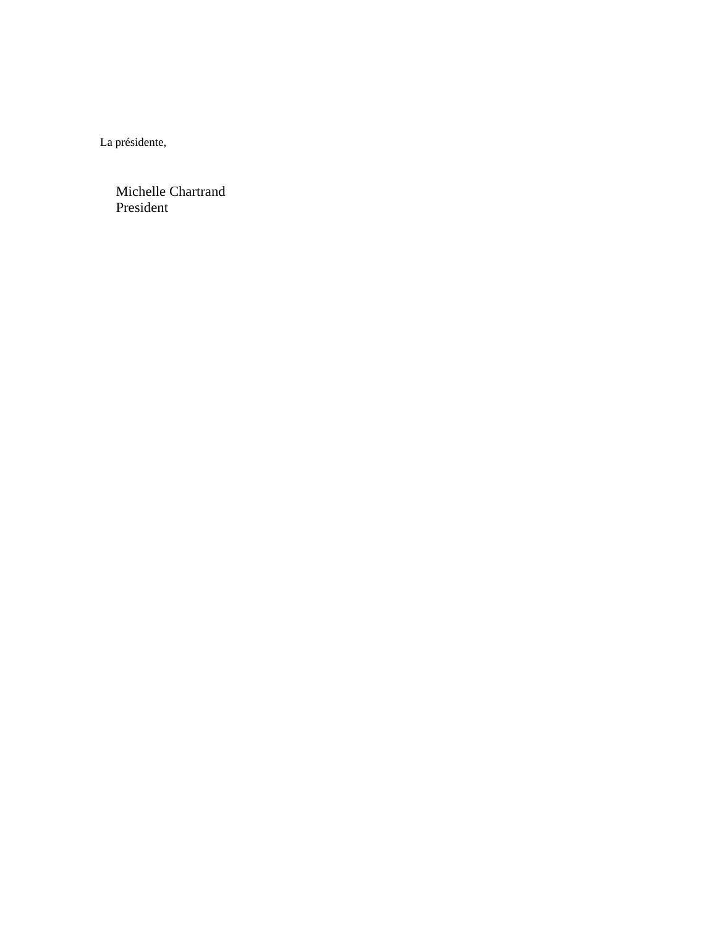La présidente,

Michelle Chartrand President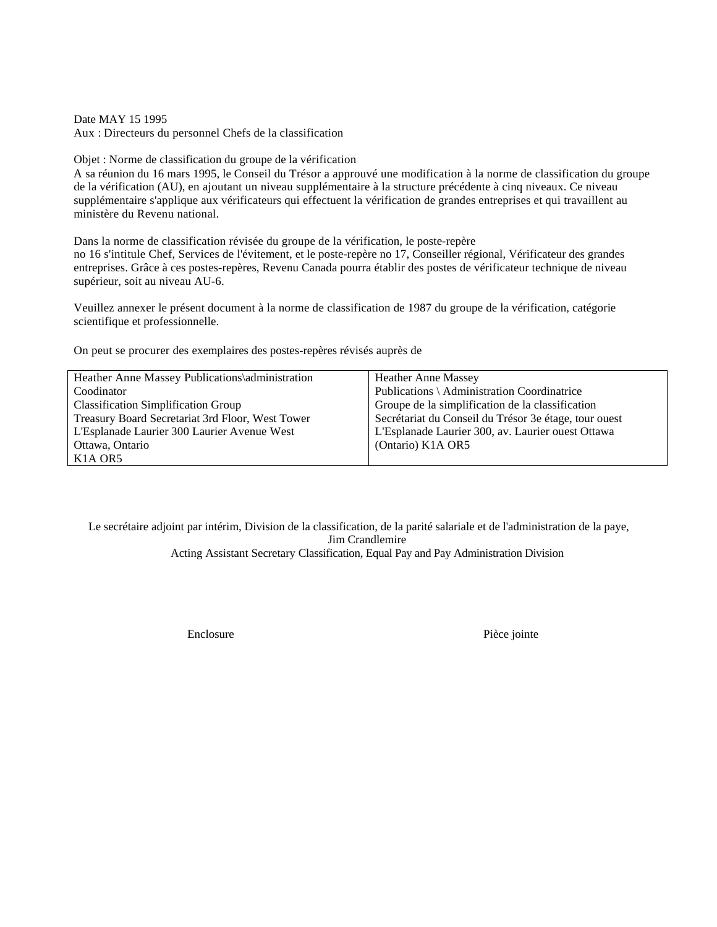Date MAY 15 1995

Aux : Directeurs du personnel Chefs de la classification

Objet : Norme de classification du groupe de la vérification

A sa réunion du 16 mars 1995, le Conseil du Trésor a approuvé une modification à la norme de classification du groupe de la vérification (AU), en ajoutant un niveau supplémentaire à la structure précédente à cinq niveaux. Ce niveau supplémentaire s'applique aux vérificateurs qui effectuent la vérification de grandes entreprises et qui travaillent au ministère du Revenu national.

Dans la norme de classification révisée du groupe de la vérification, le poste-repère no 16 s'intitule Chef, Services de l'évitement, et le poste-repère no 17, Conseiller régional, Vérificateur des grandes entreprises. Grâce à ces postes-repères, Revenu Canada pourra établir des postes de vérificateur technique de niveau supérieur, soit au niveau AU-6.

Veuillez annexer le présent document à la norme de classification de 1987 du groupe de la vérification, catégorie scientifique et professionnelle.

On peut se procurer des exemplaires des postes-repères révisés auprès de

| Heather Anne Massey Publications\administration  | <b>Heather Anne Massey</b>                            |
|--------------------------------------------------|-------------------------------------------------------|
| Coodinator                                       | Publications \ Administration Coordinatrice           |
| <b>Classification Simplification Group</b>       | Groupe de la simplification de la classification      |
| Treasury Board Secretariat 3rd Floor, West Tower | Secrétariat du Conseil du Trésor 3e étage, tour ouest |
| L'Esplanade Laurier 300 Laurier Avenue West      | L'Esplanade Laurier 300, av. Laurier ouest Ottawa     |
| Ottawa, Ontario                                  | (Ontario) K1A OR5                                     |
| K <sub>1</sub> A OR <sub>5</sub>                 |                                                       |

Le secrétaire adjoint par intérim, Division de la classification, de la parité salariale et de l'administration de la paye, Jim Crandlemire Acting Assistant Secretary Classification, Equal Pay and Pay Administration Division

Enclosure Pièce jointe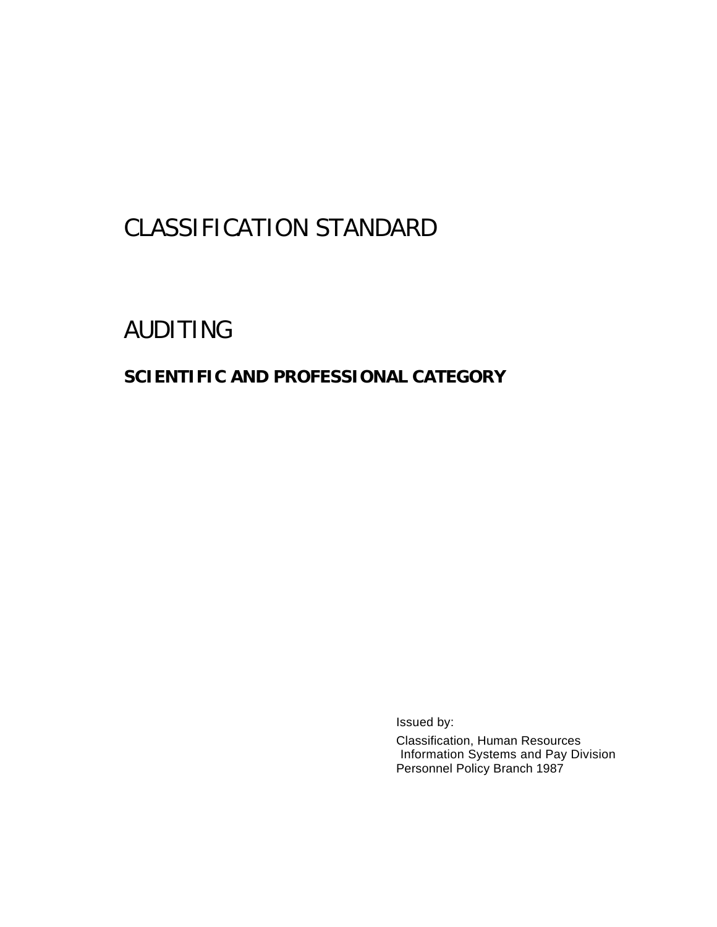# CLASSIFICATION STANDARD

# AUDITING

### **SCIENTIFIC AND PROFESSIONAL CATEGORY**

Issued by:

Classification, Human Resources Information Systems and Pay Division Personnel Policy Branch 1987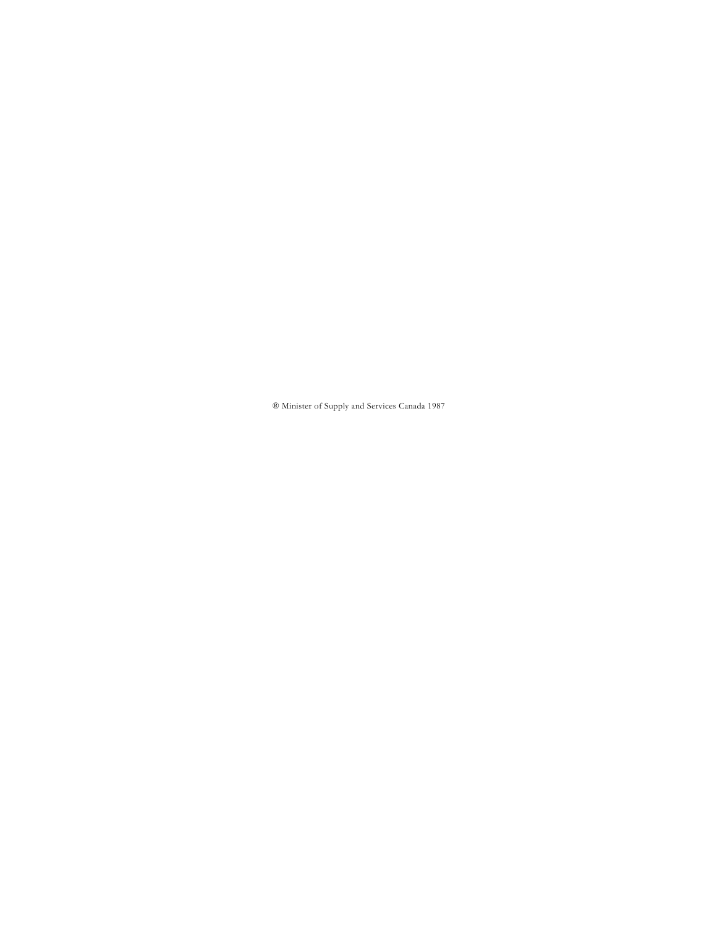® Minister of Supply and Services Canada 1987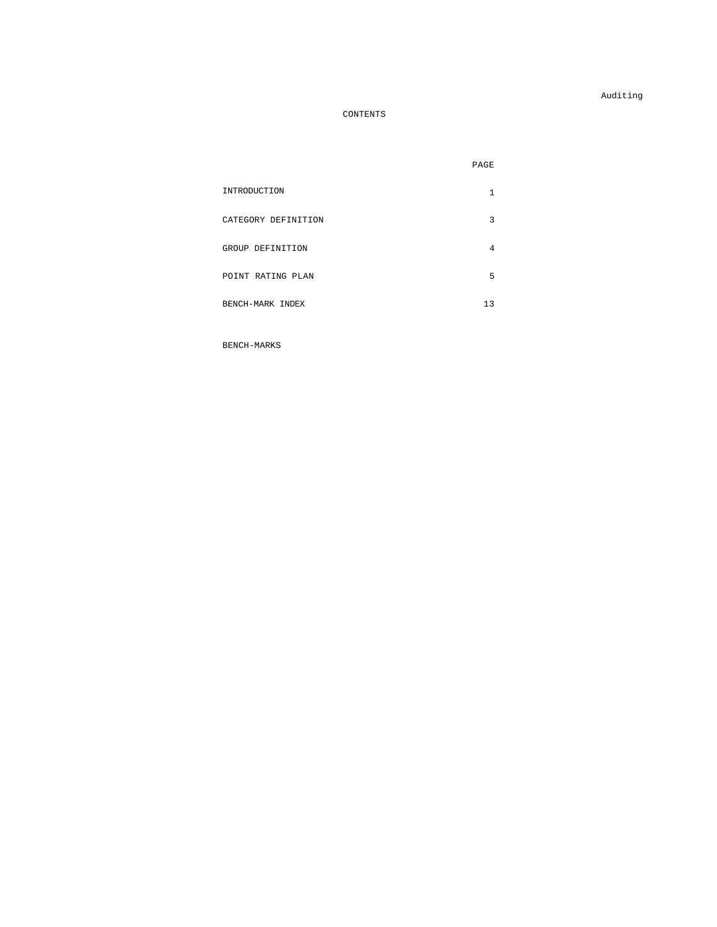Auditing

#### CONTENTS

|                     | PAGE |
|---------------------|------|
| INTRODUCTION        | 1    |
| CATEGORY DEFINITION | 3    |
| GROUP DEFINITION    | 4    |
| POINT RATING PLAN   | 5    |
| BENCH-MARK INDEX    | 13   |

BENCH-MARKS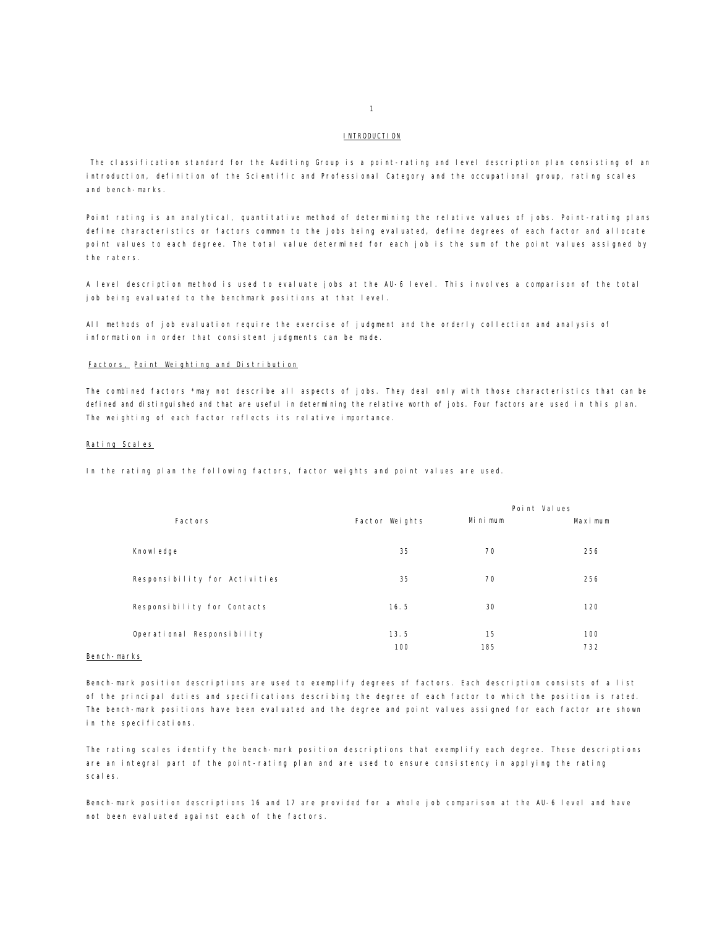#### **INTRODUCTION**

The classification standard for the Auditing Group is a point-rating and level description plan consisting of an introduction, definition of the Scientific and Professional Category and the occupational group, rating scales and bench-marks.

Point rating is an analytical, quantitative method of determining the relative values of jobs. Point-rating plans define characteristics or factors common to the jobs being evaluated, define degrees of each factor and allocate point values to each degree. The total value determined for each job is the sum of the point values assigned by the raters.

A level description method is used to evaluate jobs at the AU-6 level. This involves a comparison of the total job being evaluated to the benchmark positions at that level.

All methods of job evaluation require the exercise of judgment and the orderly collection and analysis of information in order that consistent judgments can be made.

#### Factors, Point Weighting and Distribution

The combined factors \*may not describe all aspects of jobs. They deal only with those characteristics that can be defined and distinguished and that are useful in determining the relative worth of jobs. Four factors are used in this plan. The weighting of each factor reflects its relative importance.

#### Rating Scales

In the rating plan the following factors, factor weights and point values are used.

|                               |                |         | Point Values |
|-------------------------------|----------------|---------|--------------|
| Factors                       | Factor Weights | Minimum | Maximum      |
|                               |                |         |              |
| Knowl edge                    | 35             | 70      | 256          |
| Responsibility for Activities | 35             | 70      | 256          |
|                               |                |         |              |
| Responsibility for Contacts   | 16.5           | 30      | 120          |
|                               |                |         |              |
| Operational Responsibility    | 13.5           | 15      | 100          |
|                               | 100            | 185     | 732          |
| arko.                         |                |         |              |

#### Bench-marks

Bench-mark position descriptions are used to exemplify degrees of factors. Each description consists of a list of the principal duties and specifications describing the degree of each factor to which the position is rated. The bench-mark positions have been evaluated and the degree and point values assigned for each factor are shown in the specifications.

The rating scales identify the bench-mark position descriptions that exemplify each degree. These descriptions are an integral part of the point-rating plan and are used to ensure consistency in applying the rating scales.

Bench-mark position descriptions 16 and 17 are provided for a whole job comparison at the AU-6 level and have not been evaluated against each of the factors.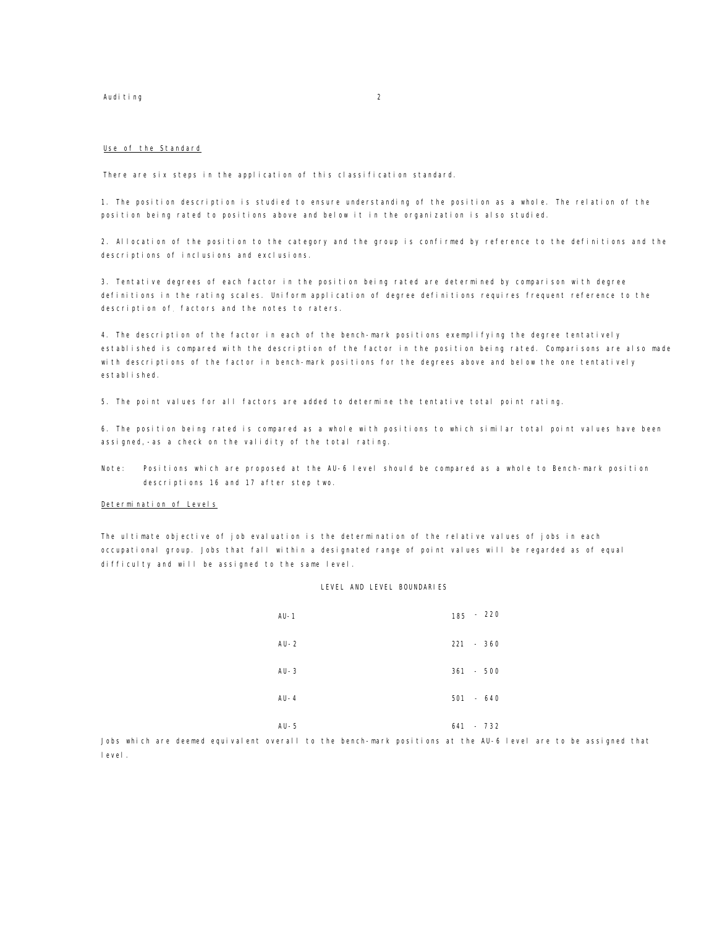#### Auditing 2

#### Use of the Standard

There are six steps in the application of this classification standard.

1. The position description is studied to ensure understanding of the position as a whole. The relation of the position being rated to positions above and below it in the organization is also studied.

2. Allocation of the position to the category and the group is confirmed by reference to the definitions and the descriptions of inclusions and exclusions.

3. Tentative degrees of each factor in the position being rated are determined by comparison with degree definitions in the rating scales. Uniform application of degree definitions requires frequent reference to the description of. factors and the notes to raters.

4. The description of the factor in each of the bench-mark positions exemplifying the degree tentatively established is compared with the description of the factor in the position being rated. Comparisons are also made with descriptions of the factor in bench-mark positions for the degrees above and below the one tentatively established.

5. The point values for all factors are added to determine the tentative total point rating.

6. The position being rated is compared as a whole with positions to which similar total point values have been assigned,-as a check on the validity of the total rating.

Note: Positions which are proposed at the AU-6 level should be compared as a whole to Bench-mark position descriptions 16 and 17 after step two.

#### Determination of Levels

The ultimate objective of job evaluation is the determination of the relative values of jobs in each occupational group. Jobs that fall within a designated range of point values will be regarded as of equal difficulty and will be assigned to the same level.

#### LEVEL AND LEVEL BOUNDARIES

| $AU-1$   | $-220$<br>185 |
|----------|---------------|
| $AU - 2$ | $221 - 360$   |
| $AU-3$   | $361 - 500$   |
| $AU - 4$ | $501 - 640$   |
| $AU - 5$ | 641<br>$-732$ |

Jobs which are deemed equivalent overall to the bench-mark positions at the AU-6 level are to be assigned that level.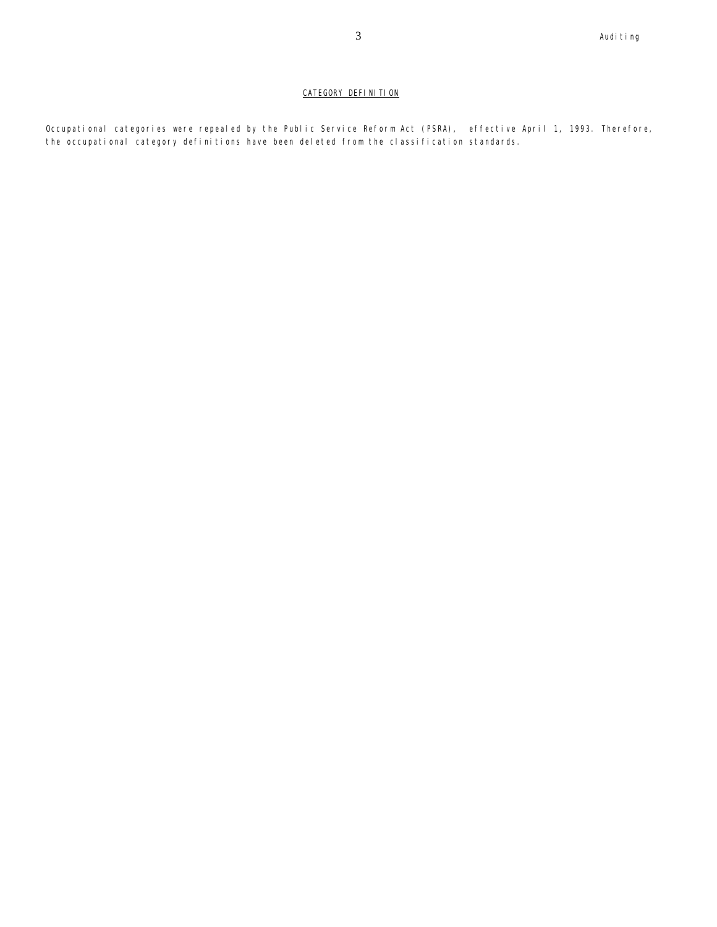#### CATEGORY DEFINITION

Occupational categories were repealed by the Public Service Reform Act (PSRA), effective April 1, 1993. Therefore, the occupational category definitions have been deleted from the classification standards.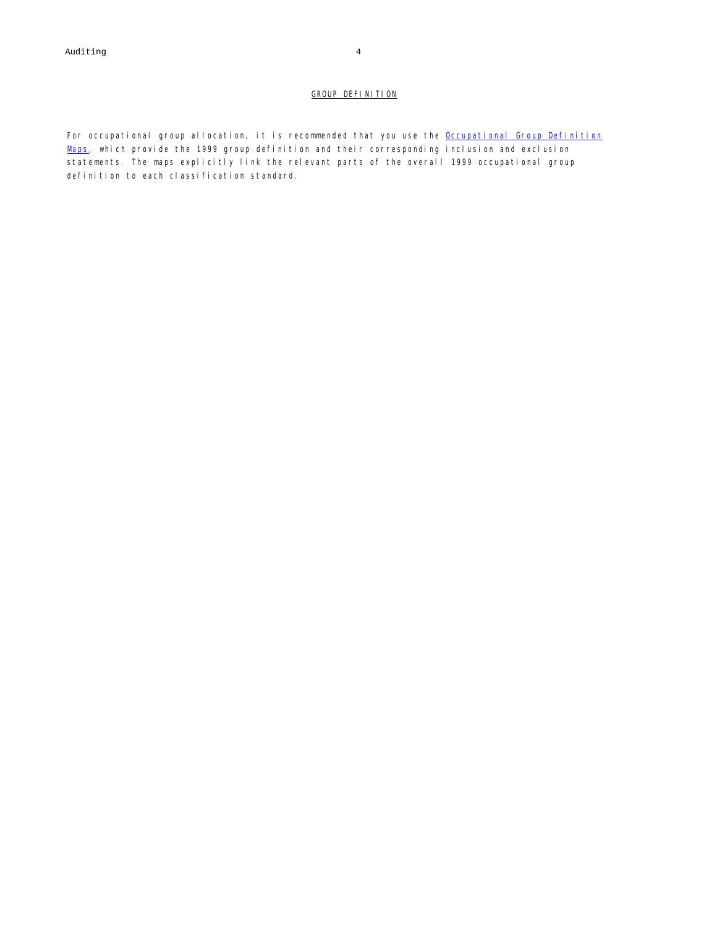#### GROUP DEFINITION

For occupational group allocation, it is recommended that you use the Occupational Group Definition Maps, which provide the 1999 group definition and their corresponding inclusion and exclusion statements. The maps explicitly link the relevant parts of the overall 1999 occupational group definition to each classification standard.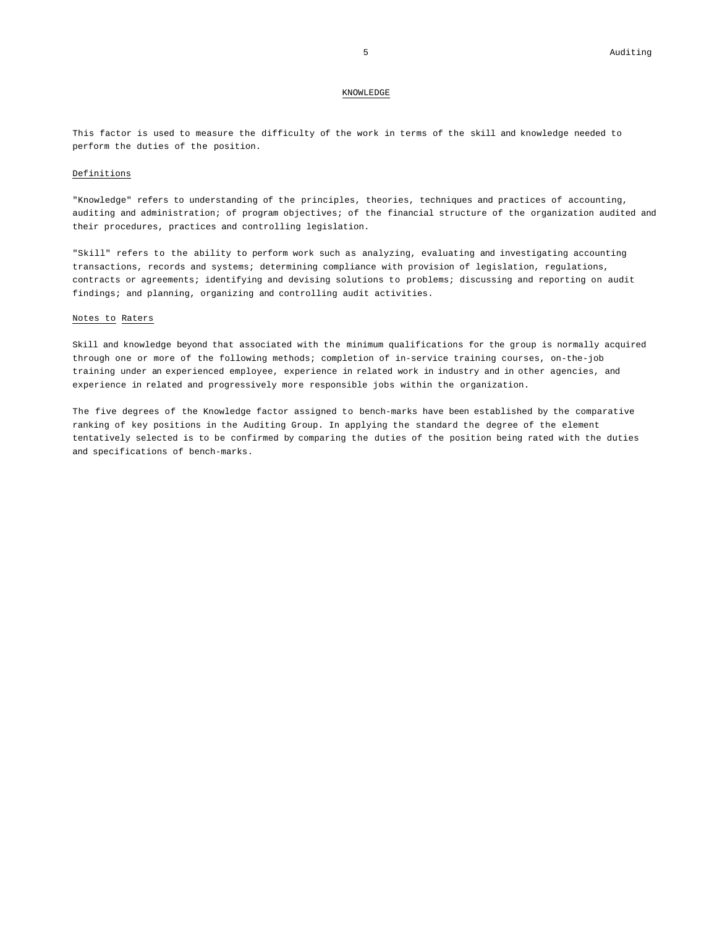#### KNOWLEDGE

This factor is used to measure the difficulty of the work in terms of the skill and knowledge needed to perform the duties of the position.

#### Definitions

"Knowledge" refers to understanding of the principles, theories, techniques and practices of accounting, auditing and administration; of program objectives; of the financial structure of the organization audited and their procedures, practices and controlling legislation.

"Skill" refers to the ability to perform work such as analyzing, evaluating and investigating accounting transactions, records and systems; determining compliance with provision of legislation, regulations, contracts or agreements; identifying and devising solutions to problems; discussing and reporting on audit findings; and planning, organizing and controlling audit activities.

#### Notes to Raters

Skill and knowledge beyond that associated with the minimum qualifications for the group is normally acquired through one or more of the following methods; completion of in-service training courses, on-the-job training under an experienced employee, experience in related work in industry and in other agencies, and experience in related and progressively more responsible jobs within the organization.

The five degrees of the Knowledge factor assigned to bench-marks have been established by the comparative ranking of key positions in the Auditing Group. In applying the standard the degree of the element tentatively selected is to be confirmed by comparing the duties of the position being rated with the duties and specifications of bench-marks.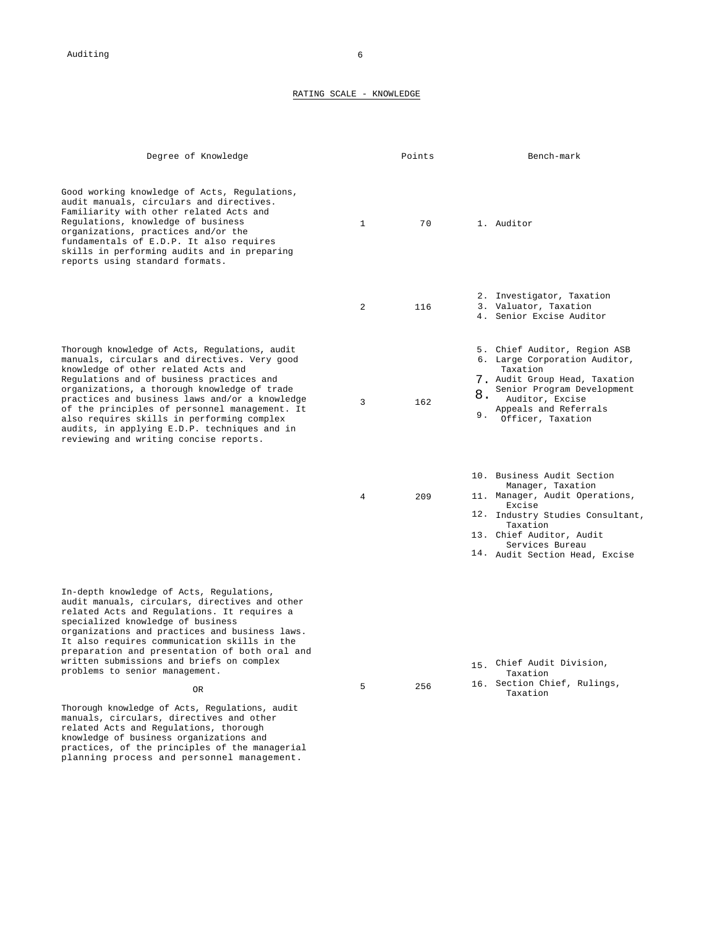#### RATING SCALE - KNOWLEDGE

| Degree of Knowledge                                                                                                                                                                                                                                                                                                                                                                                                                                                           |                | Points | Bench-mark                                                                                                                                                                                                                   |
|-------------------------------------------------------------------------------------------------------------------------------------------------------------------------------------------------------------------------------------------------------------------------------------------------------------------------------------------------------------------------------------------------------------------------------------------------------------------------------|----------------|--------|------------------------------------------------------------------------------------------------------------------------------------------------------------------------------------------------------------------------------|
| Good working knowledge of Acts, Regulations,<br>audit manuals, circulars and directives.<br>Familiarity with other related Acts and<br>Regulations, knowledge of business<br>organizations, practices and/or the<br>fundamentals of E.D.P. It also requires<br>skills in performing audits and in preparing<br>reports using standard formats.                                                                                                                                | $\mathbf{1}$   | 70     | 1. Auditor                                                                                                                                                                                                                   |
|                                                                                                                                                                                                                                                                                                                                                                                                                                                                               | 2              | 116    | 2. Investigator, Taxation<br>3. Valuator, Taxation<br>4. Senior Excise Auditor                                                                                                                                               |
| Thorough knowledge of Acts, Regulations, audit<br>manuals, circulars and directives. Very good<br>knowledge of other related Acts and<br>Regulations and of business practices and<br>organizations, a thorough knowledge of trade<br>practices and business laws and/or a knowledge<br>of the principles of personnel management. It<br>also requires skills in performing complex<br>audits, in applying E.D.P. techniques and in<br>reviewing and writing concise reports. | 3              | 162    | 5. Chief Auditor, Region ASB<br>6. Large Corporation Auditor,<br>Taxation<br>7. Audit Group Head, Taxation<br>Senior Program Development<br>8.<br>Auditor, Excise<br>Appeals and Referrals<br>9.<br>Officer, Taxation        |
|                                                                                                                                                                                                                                                                                                                                                                                                                                                                               | $\overline{4}$ | 209    | 10. Business Audit Section<br>Manager, Taxation<br>11. Manager, Audit Operations,<br>Excise<br>12. Industry Studies Consultant,<br>Taxation<br>13. Chief Auditor, Audit<br>Services Bureau<br>14. Audit Section Head, Excise |
| In-depth knowledge of Acts, Regulations,<br>audit manuals, circulars, directives and other<br>related Acts and Regulations. It requires a<br>specialized knowledge of business<br>organizations and practices and business laws.<br>It also requires communication skills in the<br>preparation and presentation of both oral and<br>written submissions and briefs on complex<br>problems to senior management.                                                              |                |        | Chief Audit Division,<br>15.<br>Taxation                                                                                                                                                                                     |
| 0R                                                                                                                                                                                                                                                                                                                                                                                                                                                                            | 5              | 256    | 16. Section Chief, Rulings,<br>Taxation                                                                                                                                                                                      |
| Thorough knowledge of Acts, Regulations, audit<br>manuals, circulars, directives and other<br>related Acts and Regulations, thorough<br>knowledge of business organizations and<br>practices, of the principles of the managerial<br>planning process and personnel management.                                                                                                                                                                                               |                |        |                                                                                                                                                                                                                              |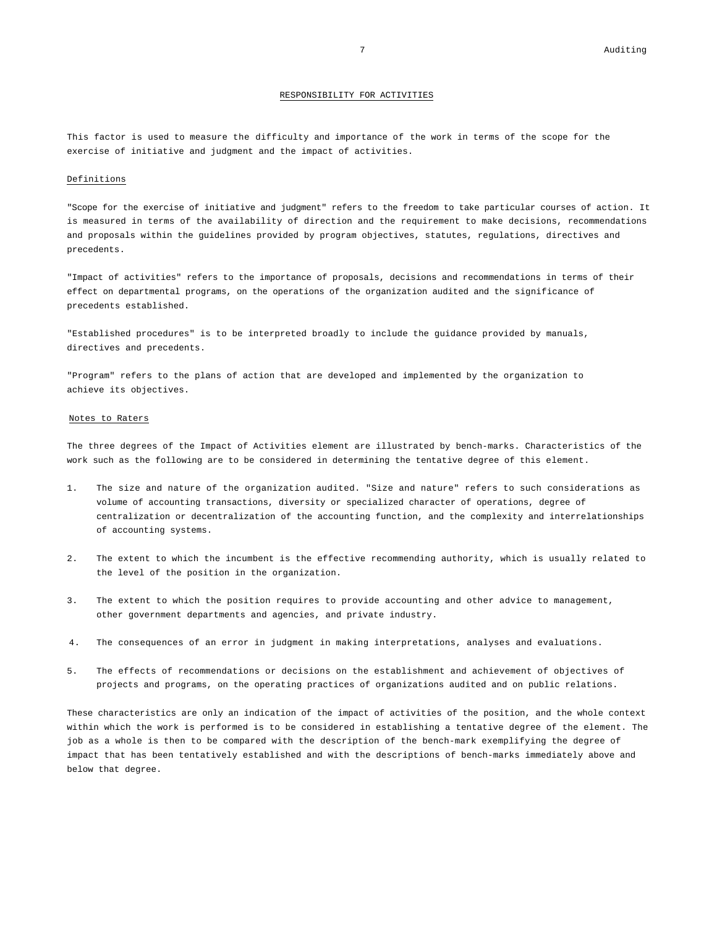#### RESPONSIBILITY FOR ACTIVITIES

This factor is used to measure the difficulty and importance of the work in terms of the scope for the exercise of initiative and judgment and the impact of activities.

#### Definitions

"Scope for the exercise of initiative and judgment" refers to the freedom to take particular courses of action. It is measured in terms of the availability of direction and the requirement to make decisions, recommendations and proposals within the guidelines provided by program objectives, statutes, regulations, directives and precedents.

"Impact of activities" refers to the importance of proposals, decisions and recommendations in terms of their effect on departmental programs, on the operations of the organization audited and the significance of precedents established.

"Established procedures" is to be interpreted broadly to include the guidance provided by manuals, directives and precedents.

"Program" refers to the plans of action that are developed and implemented by the organization to achieve its objectives.

#### Notes to Raters

The three degrees of the Impact of Activities element are illustrated by bench-marks. Characteristics of the work such as the following are to be considered in determining the tentative degree of this element.

- 1. The size and nature of the organization audited. "Size and nature" refers to such considerations as volume of accounting transactions, diversity or specialized character of operations, degree of centralization or decentralization of the accounting function, and the complexity and interrelationships of accounting systems.
- 2. The extent to which the incumbent is the effective recommending authority, which is usually related to the level of the position in the organization.
- 3. The extent to which the position requires to provide accounting and other advice to management, other government departments and agencies, and private industry.
- 4. The consequences of an error in judgment in making interpretations, analyses and evaluations.
- 5. The effects of recommendations or decisions on the establishment and achievement of objectives of projects and programs, on the operating practices of organizations audited and on public relations.

These characteristics are only an indication of the impact of activities of the position, and the whole context within which the work is performed is to be considered in establishing a tentative degree of the element. The job as a whole is then to be compared with the description of the bench-mark exemplifying the degree of impact that has been tentatively established and with the descriptions of bench-marks immediately above and below that degree.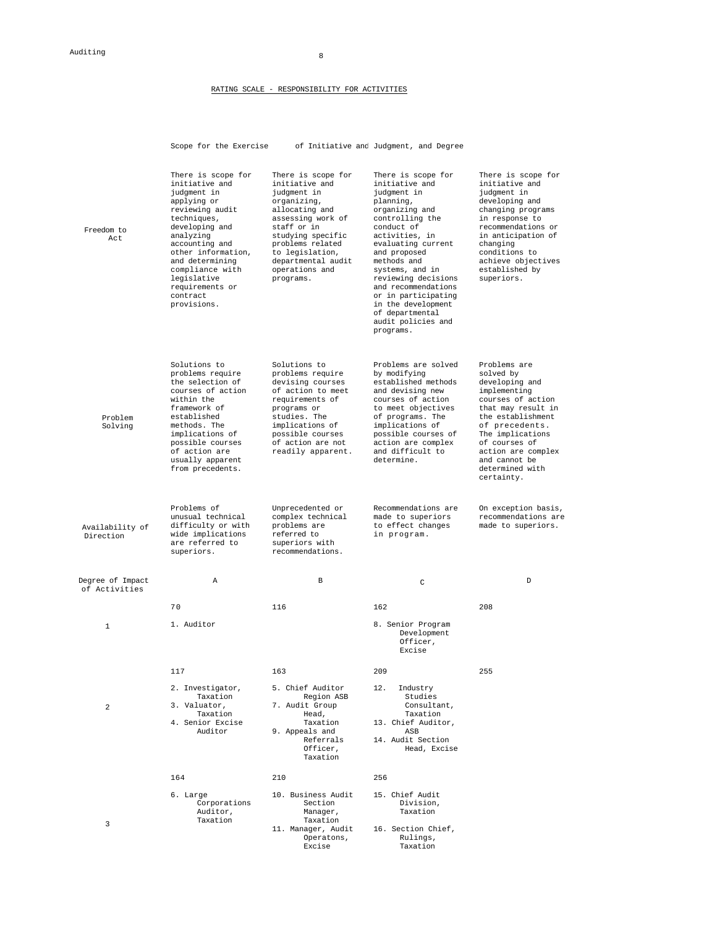#### RATING SCALE - RESPONSIBILITY FOR ACTIVITIES

|                                   | Scope for the Exercise                                                                                                                                                                                                                                                         |                                                                                                                                                                                                                                           | of Initiative and Judgment, and Degree                                                                                                                                                                                                                                                                                                                         |                                                                                                                                                                                                                                                            |
|-----------------------------------|--------------------------------------------------------------------------------------------------------------------------------------------------------------------------------------------------------------------------------------------------------------------------------|-------------------------------------------------------------------------------------------------------------------------------------------------------------------------------------------------------------------------------------------|----------------------------------------------------------------------------------------------------------------------------------------------------------------------------------------------------------------------------------------------------------------------------------------------------------------------------------------------------------------|------------------------------------------------------------------------------------------------------------------------------------------------------------------------------------------------------------------------------------------------------------|
| Freedom to<br>Act                 | There is scope for<br>initiative and<br>judgment in<br>applying or<br>reviewing audit<br>techniques,<br>developing and<br>analyzing<br>accounting and<br>other information,<br>and determining<br>compliance with<br>legislative<br>requirements or<br>contract<br>provisions. | There is scope for<br>initiative and<br>judgment in<br>organizing,<br>allocating and<br>assessing work of<br>staff or in<br>studying specific<br>problems related<br>to legislation,<br>departmental audit<br>operations and<br>programs. | There is scope for<br>initiative and<br>judgment in<br>planning,<br>organizing and<br>controlling the<br>conduct of<br>activities, in<br>evaluating current<br>and proposed<br>methods and<br>systems, and in<br>reviewing decisions<br>and recommendations<br>or in participating<br>in the development<br>of departmental<br>audit policies and<br>programs. | There is scope for<br>initiative and<br>judgment in<br>developing and<br>changing programs<br>in response to<br>recommendations or<br>in anticipation of<br>changing<br>conditions to<br>achieve objectives<br>established by<br>superiors.                |
| Problem<br>Solving                | Solutions to<br>problems require<br>the selection of<br>courses of action<br>within the<br>framework of<br>established<br>methods. The<br>implications of<br>possible courses<br>of action are<br>usually apparent<br>from precedents.                                         | Solutions to<br>problems require<br>devising courses<br>of action to meet<br>requirements of<br>programs or<br>studies. The<br>implications of<br>possible courses<br>of action are not<br>readily apparent.                              | Problems are solved<br>by modifying<br>established methods<br>and devising new<br>courses of action<br>to meet objectives<br>of programs. The<br>implications of<br>possible courses of<br>action are complex<br>and difficult to<br>determine.                                                                                                                | Problems are<br>solved by<br>developing and<br>implementing<br>courses of action<br>that may result in<br>the establishment<br>of precedents.<br>The implications<br>of courses of<br>action are complex<br>and cannot be<br>determined with<br>certainty. |
| Availability of<br>Direction      | Problems of<br>unusual technical<br>difficulty or with<br>wide implications<br>are referred to<br>superiors.                                                                                                                                                                   | Unprecedented or<br>complex technical<br>problems are<br>referred to<br>superiors with<br>recommendations.                                                                                                                                | Recommendations are<br>made to superiors<br>to effect changes<br>in program.                                                                                                                                                                                                                                                                                   | On exception basis,<br>recommendations are<br>made to superiors.                                                                                                                                                                                           |
| Degree of Impact<br>of Activities | Α                                                                                                                                                                                                                                                                              | B                                                                                                                                                                                                                                         | C                                                                                                                                                                                                                                                                                                                                                              | D                                                                                                                                                                                                                                                          |
| $\mathbf{1}$                      | 70<br>1. Auditor                                                                                                                                                                                                                                                               | 116                                                                                                                                                                                                                                       | 162<br>8. Senior Program<br>Development<br>Officer,<br>Excise                                                                                                                                                                                                                                                                                                  | 208                                                                                                                                                                                                                                                        |
| $\overline{a}$                    | 117<br>2. Investigator,<br>Taxation<br>3. Valuator.<br>Taxation<br>4. Senior Excise<br>Auditor                                                                                                                                                                                 | 163<br>5. Chief Auditor<br>Region ASB<br>7. Audit Group<br>Head,<br>Taxation<br>9. Appeals and<br>Referrals<br>Officer,<br>Taxation                                                                                                       | 209<br>12.<br>Industry<br>Studies<br>Consultant,<br>Taxation<br>13. Chief Auditor,<br>ASB<br>14. Audit Section<br>Head, Excise                                                                                                                                                                                                                                 | 255                                                                                                                                                                                                                                                        |
|                                   | 164                                                                                                                                                                                                                                                                            | 210                                                                                                                                                                                                                                       | 256                                                                                                                                                                                                                                                                                                                                                            |                                                                                                                                                                                                                                                            |
| 3                                 | 6. Large<br>Corporations<br>Auditor,<br>Taxation                                                                                                                                                                                                                               | 10. Business Audit<br>Section<br>Manager,<br>Taxation<br>11. Manager, Audit<br>Operatons,<br>Excise                                                                                                                                       | 15. Chief Audit<br>Division,<br>Taxation<br>16. Section Chief,<br>Rulings,<br>Taxation                                                                                                                                                                                                                                                                         |                                                                                                                                                                                                                                                            |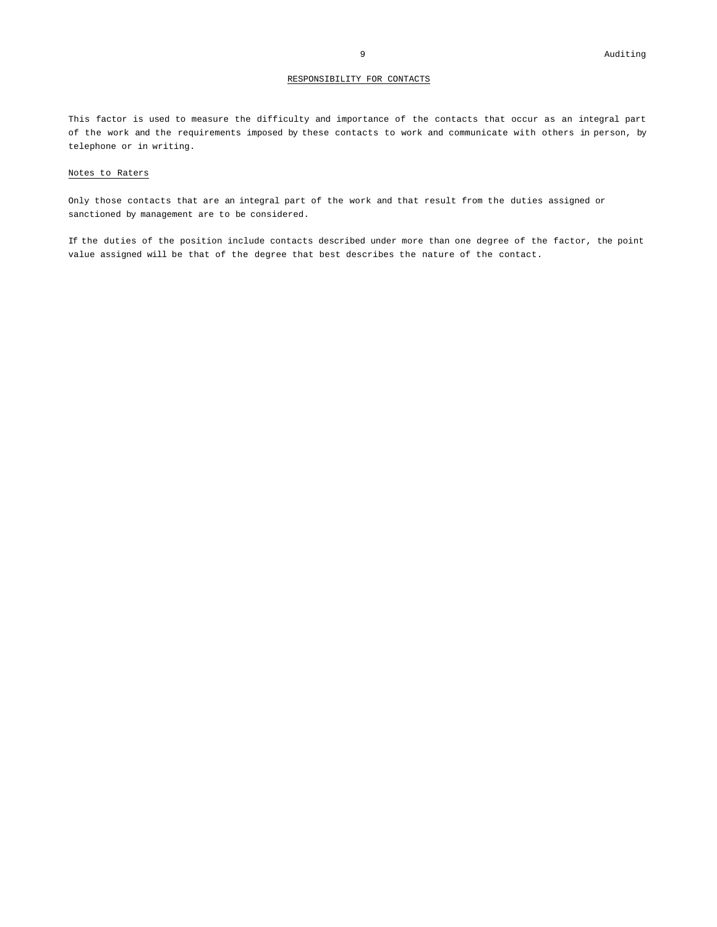#### RESPONSIBILITY FOR CONTACTS

This factor is used to measure the difficulty and importance of the contacts that occur as an integral part of the work and the requirements imposed by these contacts to work and communicate with others in person, by telephone or in writing.

#### Notes to Raters

Only those contacts that are an integral part of the work and that result from the duties assigned or sanctioned by management are to be considered.

If the duties of the position include contacts described under more than one degree of the factor, the point value assigned will be that of the degree that best describes the nature of the contact.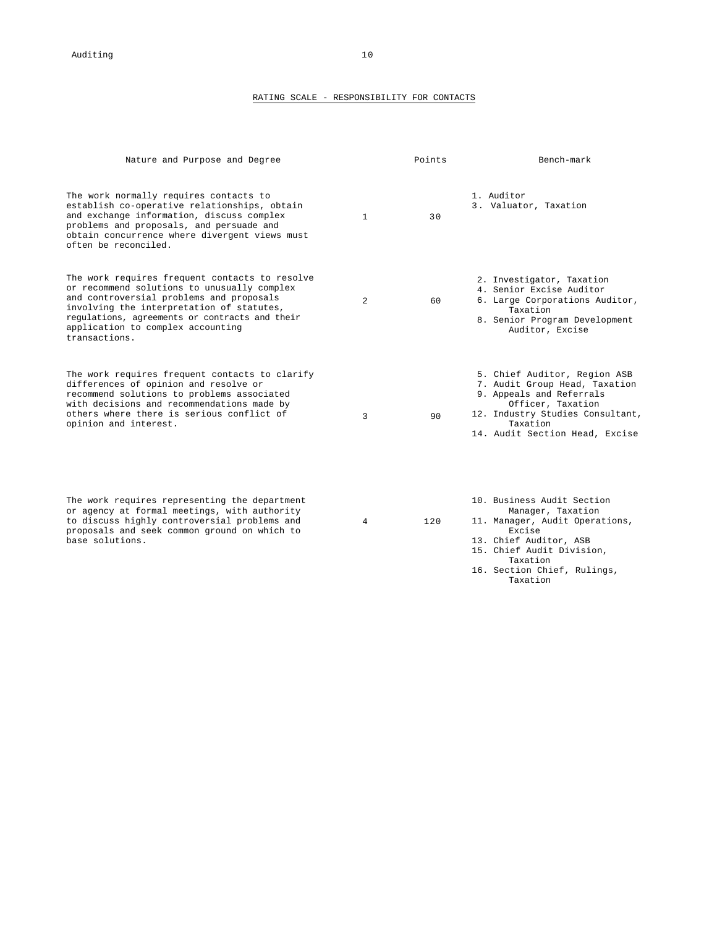#### RATING SCALE - RESPONSIBILITY FOR CONTACTS

| Nature and Purpose and Degree                                                                                                                                                                                                                                                                  |              | Points | Bench-mark                                                                                                                                                                                       |
|------------------------------------------------------------------------------------------------------------------------------------------------------------------------------------------------------------------------------------------------------------------------------------------------|--------------|--------|--------------------------------------------------------------------------------------------------------------------------------------------------------------------------------------------------|
| The work normally requires contacts to<br>establish co-operative relationships, obtain<br>and exchange information, discuss complex<br>problems and proposals, and persuade and<br>obtain concurrence where divergent views must<br>often be reconciled.                                       | $\mathbf{1}$ | 30     | 1. Auditor<br>3. Valuator, Taxation                                                                                                                                                              |
| The work requires frequent contacts to resolve<br>or recommend solutions to unusually complex<br>and controversial problems and proposals<br>involving the interpretation of statutes,<br>regulations, agreements or contracts and their<br>application to complex accounting<br>transactions. | 2            | 60     | 2. Investigator, Taxation<br>4. Senior Excise Auditor<br>6. Large Corporations Auditor,<br>Taxation<br>8. Senior Program Development<br>Auditor, Excise                                          |
| The work requires frequent contacts to clarify<br>differences of opinion and resolve or<br>recommend solutions to problems associated<br>with decisions and recommendations made by<br>others where there is serious conflict of<br>opinion and interest.                                      | 3            | 90     | 5. Chief Auditor, Region ASB<br>7. Audit Group Head, Taxation<br>9. Appeals and Referrals<br>Officer, Taxation<br>12. Industry Studies Consultant,<br>Taxation<br>14. Audit Section Head, Excise |
| The work requires representing the department<br>or agency at formal meetings, with authority<br>to discuss highly controversial problems and<br>proposals and seek common ground on which to<br>base solutions.                                                                               | 4            | 120    | 10. Business Audit Section<br>Manager, Taxation<br>11. Manager, Audit Operations,<br>Excise<br>13. Chief Auditor, ASB<br>15. Chief Audit Division,<br>Taxation                                   |

16. Section Chief, Rulings, Taxation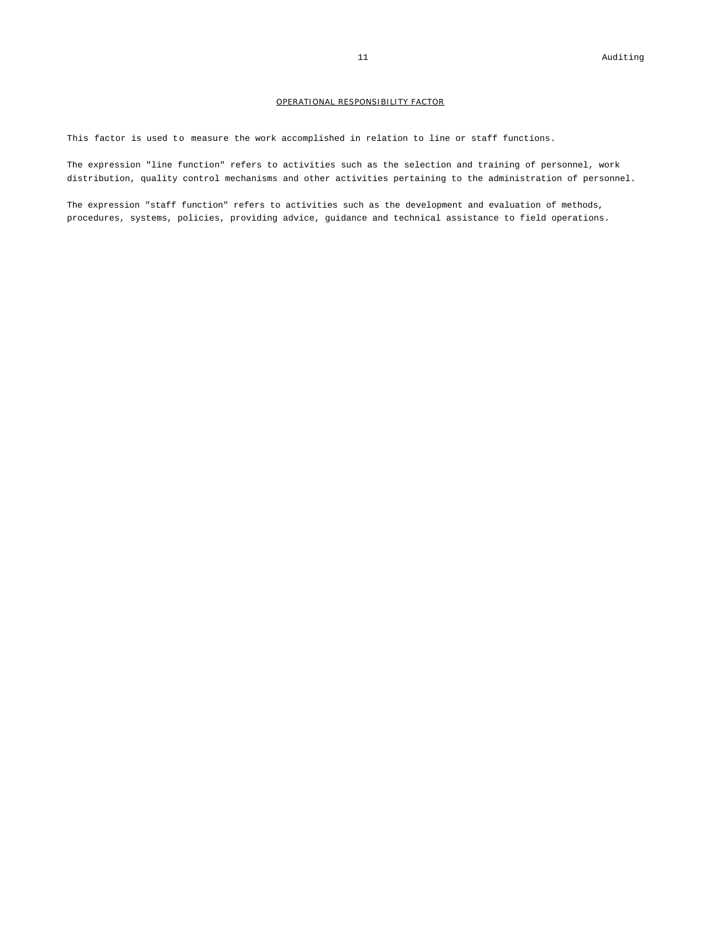#### OPERATIONAL RESPONSIBILITY FACTOR

This factor is used to measure the work accomplished in relation to line or staff functions.

The expression "line function" refers to activities such as the selection and training of personnel, work distribution, quality control mechanisms and other activities pertaining to the administration of personnel.

The expression "staff function" refers to activities such as the development and evaluation of methods, procedures, systems, policies, providing advice, guidance and technical assistance to field operations.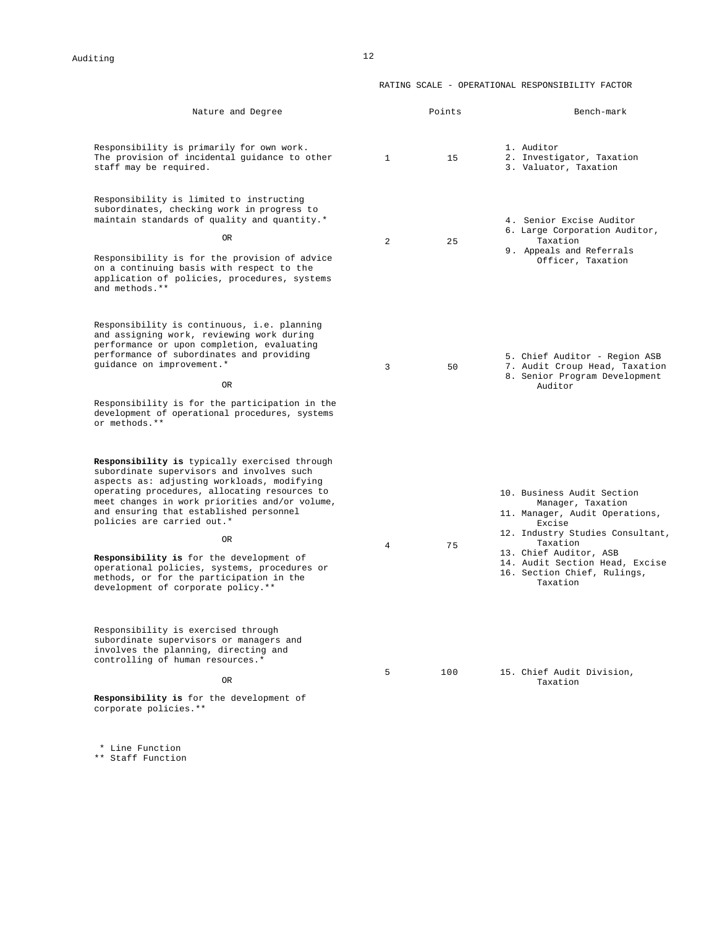#### RATING SCALE - OPERATIONAL RESPONSIBILITY FACTOR

| Nature and Degree                                                                                                                                                                                                                                                                                                                                                                                                                                                                                               |                | Points | Bench-mark                                                                                                                                                                                                                                         |
|-----------------------------------------------------------------------------------------------------------------------------------------------------------------------------------------------------------------------------------------------------------------------------------------------------------------------------------------------------------------------------------------------------------------------------------------------------------------------------------------------------------------|----------------|--------|----------------------------------------------------------------------------------------------------------------------------------------------------------------------------------------------------------------------------------------------------|
| Responsibility is primarily for own work.<br>The provision of incidental guidance to other<br>staff may be required.                                                                                                                                                                                                                                                                                                                                                                                            | $\mathbf{1}$   | 15     | 1. Auditor<br>2. Investigator, Taxation<br>3. Valuator, Taxation                                                                                                                                                                                   |
| Responsibility is limited to instructing<br>subordinates, checking work in progress to<br>maintain standards of quality and quantity.*<br>0 <sub>R</sub><br>Responsibility is for the provision of advice<br>on a continuing basis with respect to the<br>application of policies, procedures, systems<br>and methods.**                                                                                                                                                                                        | $\overline{a}$ | 25     | 4. Senior Excise Auditor<br>6. Large Corporation Auditor,<br>Taxation<br>9. Appeals and Referrals<br>Officer, Taxation                                                                                                                             |
| Responsibility is continuous, i.e. planning<br>and assigning work, reviewing work during<br>performance or upon completion, evaluating<br>performance of subordinates and providing<br>guidance on improvement.*<br>0 <sub>R</sub><br>Responsibility is for the participation in the<br>development of operational procedures, systems<br>or methods. **                                                                                                                                                        | 3              | 50     | 5. Chief Auditor - Region ASB<br>7. Audit Croup Head, Taxation<br>8. Senior Program Development<br>Auditor                                                                                                                                         |
| Responsibility is typically exercised through<br>subordinate supervisors and involves such<br>aspects as: adjusting workloads, modifying<br>operating procedures, allocating resources to<br>meet changes in work priorities and/or volume,<br>and ensuring that established personnel<br>policies are carried out.*<br><b>OR</b><br>Responsibility is for the development of<br>operational policies, systems, procedures or<br>methods, or for the participation in the<br>development of corporate policy.** | 4              | 75     | 10. Business Audit Section<br>Manager, Taxation<br>11. Manager, Audit Operations,<br>Excise<br>12. Industry Studies Consultant,<br>Taxation<br>13. Chief Auditor, ASB<br>14. Audit Section Head, Excise<br>16. Section Chief, Rulings,<br>Taxation |
| Responsibility is exercised through<br>subordinate supervisors or managers and<br>involves the planning, directing and<br>controlling of human resources.*<br>OR.<br>Responsibility is for the development of<br>corporate policies.**                                                                                                                                                                                                                                                                          | 5              | 100    | 15. Chief Audit Division,<br>Taxation                                                                                                                                                                                                              |

\* Line Function

\*\* Staff Function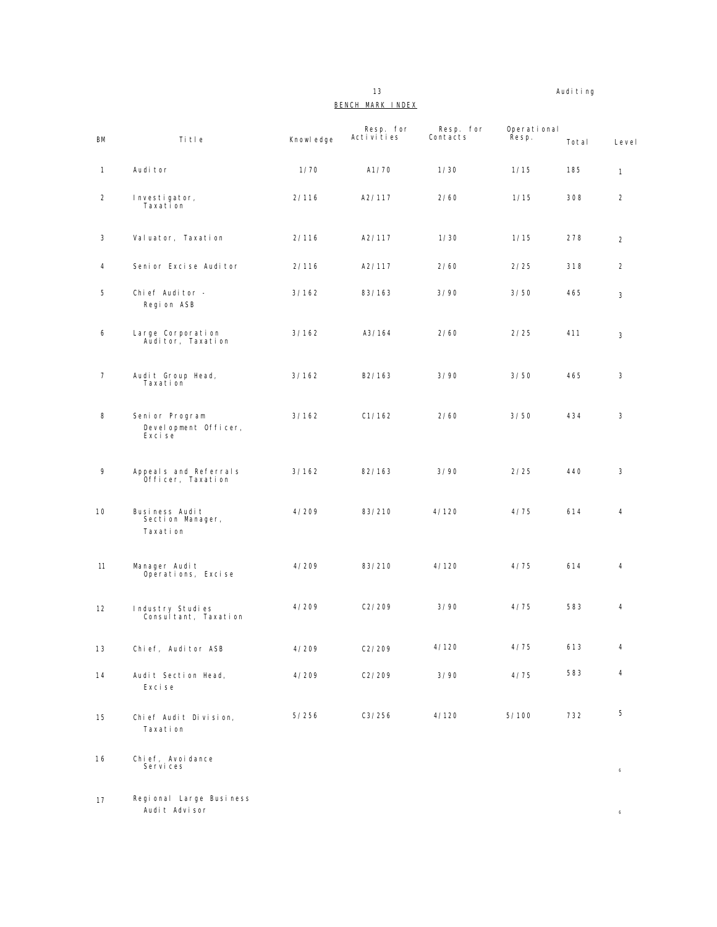13 Auditing

### BENCH MARK INDEX

| <b>BM</b>      | Title                                             | Knowl edge | Resp. for<br>Activities | Resp. for<br>Contacts | Operational<br>Řesp. | Total | Level            |
|----------------|---------------------------------------------------|------------|-------------------------|-----------------------|----------------------|-------|------------------|
| $\mathbf{1}$   | Audi tor                                          | 1/70       | A1/70                   | 1/30                  | 1/15                 | 185   | $\mathbf{1}$     |
| 2              | Investigator,<br>Taxation                         | 2/116      | A2/117                  | 2/60                  | 1/15                 | 308   | $\overline{2}$   |
| 3              | Valuator, Taxation                                | 2/116      | A2/117                  | 1/30                  | 1/15                 | 278   | $\overline{2}$   |
| 4              | Seni or Exci se Audi tor                          | 2/116      | A2/117                  | 2/60                  | 2/25                 | 318   | $\overline{2}$   |
| 5              | Chief Auditor -<br>Region ASB                     | 3/162      | 83/163                  | 3/90                  | 3/50                 | 465   | 3                |
| 6              | Large Corporation<br>Auditor, Taxation            | 3/162      | A3/164                  | 2/60                  | 2/25                 | 411   | 3                |
| $\overline{7}$ | Audit Group Head,<br>Taxation                     | 3/162      | B2/163                  | 3/90                  | 3/50                 | 465   | 3                |
| 8              | Senior Program<br>Development Officer,<br>Exci se | 3/162      | C1/162                  | 2/60                  | 3/50                 | 434   | 3                |
| 9              | Appeals and Referrals<br>Officer, Taxation        | 3/162      | 82/163                  | 3/90                  | 2/25                 | 440   | 3                |
| 10             | Business Audit<br>Section Manager,<br>Taxation    | 4/209      | 83/210                  | 4/120                 | 4/75                 | 614   | 4                |
| 11             | Manager Audit<br>Operations, Excise               | 4/209      | 83/210                  | 4/120                 | 4/75                 | 614   | 4                |
| 12             | Industry Studies<br>Consultant, Taxation          | 4/209      | C2/209                  | 3/90                  | 4/75                 | 583   | 4                |
| 13             | Chief, Auditor ASB                                | 4/209      | C2/209                  | 4/120                 | 4/75                 | 613   | 4                |
| 14             | Audit Section Head,<br>Exci se                    | 4/209      | C2/209                  | 3/90                  | 4/75                 | 583   | 4                |
| 15             | Chief Audit Division,<br>Taxation                 | 5/256      | C3/256                  | 4/120                 | 5/100                | 732   | 5                |
| 16             | Chief, Avoidance<br>Services                      |            |                         |                       |                      |       | $\boldsymbol{6}$ |
| 17             | Regional Large Business<br>Audit Advisor          |            |                         |                       |                      |       | $\epsilon$       |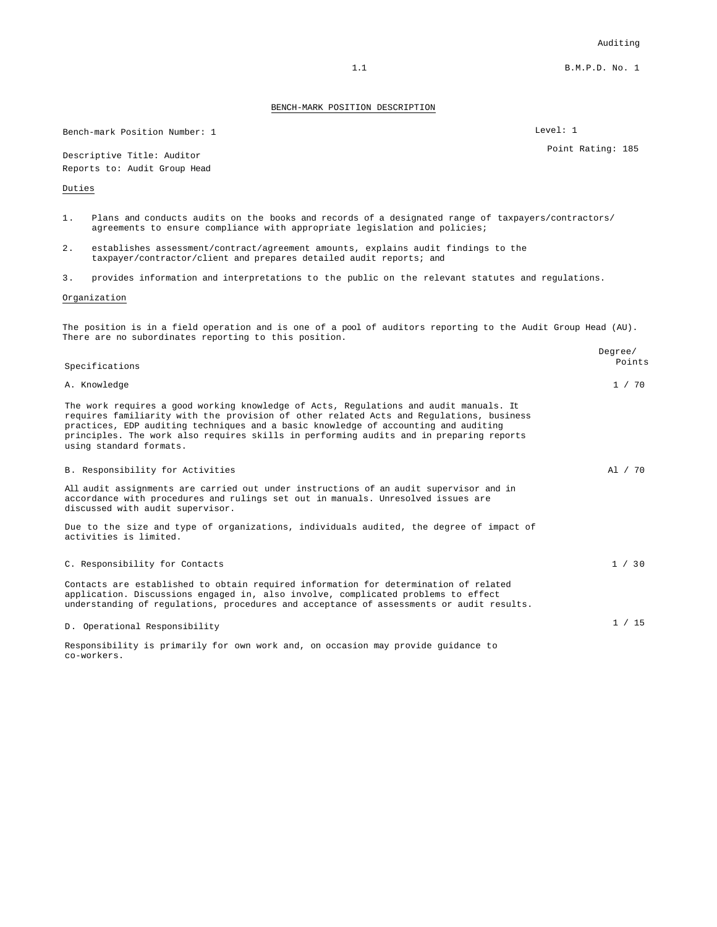1.1 B.M.P.D. No. 1

#### BENCH-MARK POSITION DESCRIPTION

Bench-mark Position Number: 1 Level: 1

Descriptive Title: Auditor **Point Rating: 185** Reports to: Audit Group Head

#### Duties

- 1. Plans and conducts audits on the books and records of a designated range of taxpayers/contractors/ agreements to ensure compliance with appropriate legislation and policies;
- 2. establishes assessment/contract/agreement amounts, explains audit findings to the taxpayer/contractor/client and prepares detailed audit reports; and
- 3. provides information and interpretations to the public on the relevant statutes and regulations.

#### Organization

co-workers.

The position is in a field operation and is one of a pool of auditors reporting to the Audit Group Head (AU). There are no subordinates reporting to this position.

| Specifications                                                                                                                                                                                                                                                                                                                                                                                | Degree/<br>Points |
|-----------------------------------------------------------------------------------------------------------------------------------------------------------------------------------------------------------------------------------------------------------------------------------------------------------------------------------------------------------------------------------------------|-------------------|
| A. Knowledge                                                                                                                                                                                                                                                                                                                                                                                  | 1 / 70            |
| The work requires a good working knowledge of Acts, Requlations and audit manuals. It<br>requires familiarity with the provision of other related Acts and Regulations, business<br>practices, EDP auditing techniques and a basic knowledge of accounting and auditing<br>principles. The work also requires skills in performing audits and in preparing reports<br>using standard formats. |                   |
| B. Responsibility for Activities                                                                                                                                                                                                                                                                                                                                                              | Al / 70           |
| All audit assignments are carried out under instructions of an audit supervisor and in<br>accordance with procedures and rulings set out in manuals. Unresolved issues are<br>discussed with audit supervisor.                                                                                                                                                                                |                   |
| Due to the size and type of organizations, individuals audited, the degree of impact of<br>activities is limited.                                                                                                                                                                                                                                                                             |                   |
| C. Responsibility for Contacts                                                                                                                                                                                                                                                                                                                                                                | 1 / 30            |
| Contacts are established to obtain required information for determination of related<br>application. Discussions engaged in, also involve, complicated problems to effect<br>understanding of regulations, procedures and acceptance of assessments or audit results.                                                                                                                         |                   |
| D. Operational Responsibility                                                                                                                                                                                                                                                                                                                                                                 | 1 / 15            |
| Responsibility is primarily for own work and, on occasion may provide guidance to                                                                                                                                                                                                                                                                                                             |                   |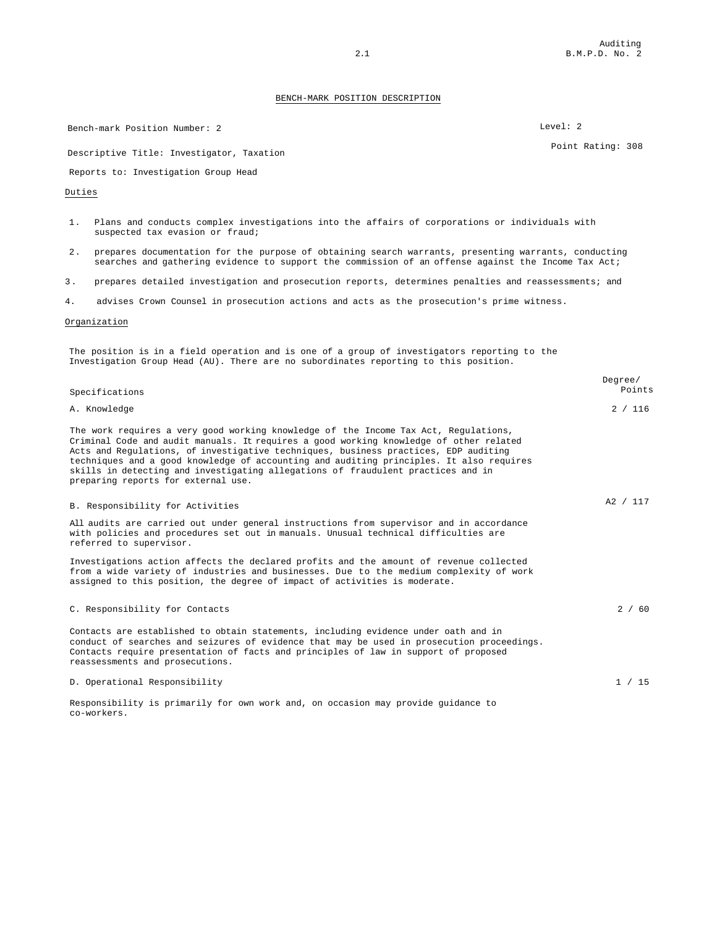Bench-mark Position Number: 2 Level: 2

Descriptive Title: Investigator, Taxation Point Rating: 308

Reports to: Investigation Group Head

Duties

- 1. Plans and conducts complex investigations into the affairs of corporations or individuals with suspected tax evasion or fraud;
- 2. prepares documentation for the purpose of obtaining search warrants, presenting warrants, conducting searches and gathering evidence to support the commission of an offense against the Income Tax Act;
- 3 . prepares detailed investigation and prosecution reports, determines penalties and reassessments; and
- 4. advises Crown Counsel in prosecution actions and acts as the prosecution's prime witness.

#### Organization

The position is in a field operation and is one of a group of investigators reporting to the Investigation Group Head (AU). There are no subordinates reporting to this position.

| Specifications                                                                                                                                                                                                                                                                                                                                                                                                                                                                             | Degree/ | Points   |
|--------------------------------------------------------------------------------------------------------------------------------------------------------------------------------------------------------------------------------------------------------------------------------------------------------------------------------------------------------------------------------------------------------------------------------------------------------------------------------------------|---------|----------|
| A. Knowledge                                                                                                                                                                                                                                                                                                                                                                                                                                                                               |         | 2 / 116  |
| The work requires a very good working knowledge of the Income Tax Act, Regulations,<br>Criminal Code and audit manuals. It requires a good working knowledge of other related<br>Acts and Regulations, of investigative techniques, business practices, EDP auditing<br>techniques and a good knowledge of accounting and auditing principles. It also requires<br>skills in detecting and investigating allegations of fraudulent practices and in<br>preparing reports for external use. |         |          |
| B. Responsibility for Activities                                                                                                                                                                                                                                                                                                                                                                                                                                                           |         | A2 / 117 |
| All audits are carried out under general instructions from supervisor and in accordance<br>with policies and procedures set out in manuals. Unusual technical difficulties are<br>referred to supervisor.                                                                                                                                                                                                                                                                                  |         |          |
| Investigations action affects the declared profits and the amount of revenue collected<br>from a wide variety of industries and businesses. Due to the medium complexity of work<br>assigned to this position, the degree of impact of activities is moderate.                                                                                                                                                                                                                             |         |          |
| C. Responsibility for Contacts                                                                                                                                                                                                                                                                                                                                                                                                                                                             |         | 2 / 60   |
| Contacts are established to obtain statements, including evidence under oath and in<br>conduct of searches and seizures of evidence that may be used in prosecution proceedings.<br>Contacts require presentation of facts and principles of law in support of proposed<br>reassessments and prosecutions.                                                                                                                                                                                 |         |          |
| D. Operational Responsibility                                                                                                                                                                                                                                                                                                                                                                                                                                                              |         | 1 / 15   |

Responsibility is primarily for own work and, on occasion may provide guidance to co-workers.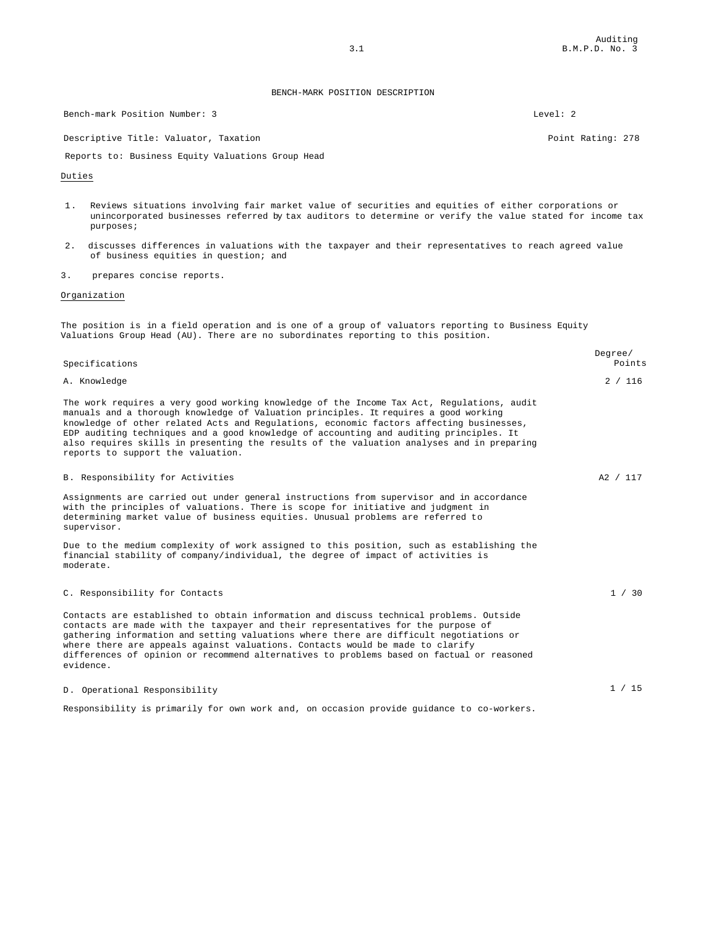Bench-mark Position Number: 3 Level: 2

Descriptive Title: Valuator, Taxation Point Rating: 278

Reports to: Business Equity Valuations Group Head

#### Duties

- 1. Reviews situations involving fair market value of securities and equities of either corporations or unincorporated businesses referred by tax auditors to determine or verify the value stated for income tax purposes;
- 2. discusses differences in valuations with the taxpayer and their representatives to reach agreed value of business equities in question; and
- 3. prepares concise reports.

#### Organization

The position is in a field operation and is one of a group of valuators reporting to Business Equity Valuations Group Head (AU). There are no subordinates reporting to this position.

| Specifications                                                                                                                                                                                                                                                                                                                                                                                                                                                                                           | Degree/<br>Points |
|----------------------------------------------------------------------------------------------------------------------------------------------------------------------------------------------------------------------------------------------------------------------------------------------------------------------------------------------------------------------------------------------------------------------------------------------------------------------------------------------------------|-------------------|
| A. Knowledge                                                                                                                                                                                                                                                                                                                                                                                                                                                                                             | 2 / 116           |
| The work requires a very good working knowledge of the Income Tax Act, Requlations, audit<br>manuals and a thorough knowledge of Valuation principles. It requires a good working<br>knowledge of other related Acts and Regulations, economic factors affecting businesses,<br>EDP auditing techniques and a good knowledge of accounting and auditing principles. It<br>also requires skills in presenting the results of the valuation analyses and in preparing<br>reports to support the valuation. |                   |
| B. Responsibility for Activities                                                                                                                                                                                                                                                                                                                                                                                                                                                                         | A2 / 117          |
| Assignments are carried out under general instructions from supervisor and in accordance<br>with the principles of valuations. There is scope for initiative and judgment in<br>determining market value of business equities. Unusual problems are referred to<br>supervisor.                                                                                                                                                                                                                           |                   |
| Due to the medium complexity of work assigned to this position, such as establishing the<br>financial stability of company/individual, the degree of impact of activities is<br>moderate.                                                                                                                                                                                                                                                                                                                |                   |
| C. Responsibility for Contacts                                                                                                                                                                                                                                                                                                                                                                                                                                                                           | 1 / 30            |
| Contacts are established to obtain information and discuss technical problems. Outside<br>contacts are made with the taxpayer and their representatives for the purpose of<br>gathering information and setting valuations where there are difficult negotiations or<br>where there are appeals against valuations. Contacts would be made to clarify<br>differences of opinion or recommend alternatives to problems based on factual or reasoned<br>evidence.                                          |                   |
| D. Operational Responsibility                                                                                                                                                                                                                                                                                                                                                                                                                                                                            | 1 / 15            |
| Responsibility is primarily for own work and, on occasion provide guidance to co-workers.                                                                                                                                                                                                                                                                                                                                                                                                                |                   |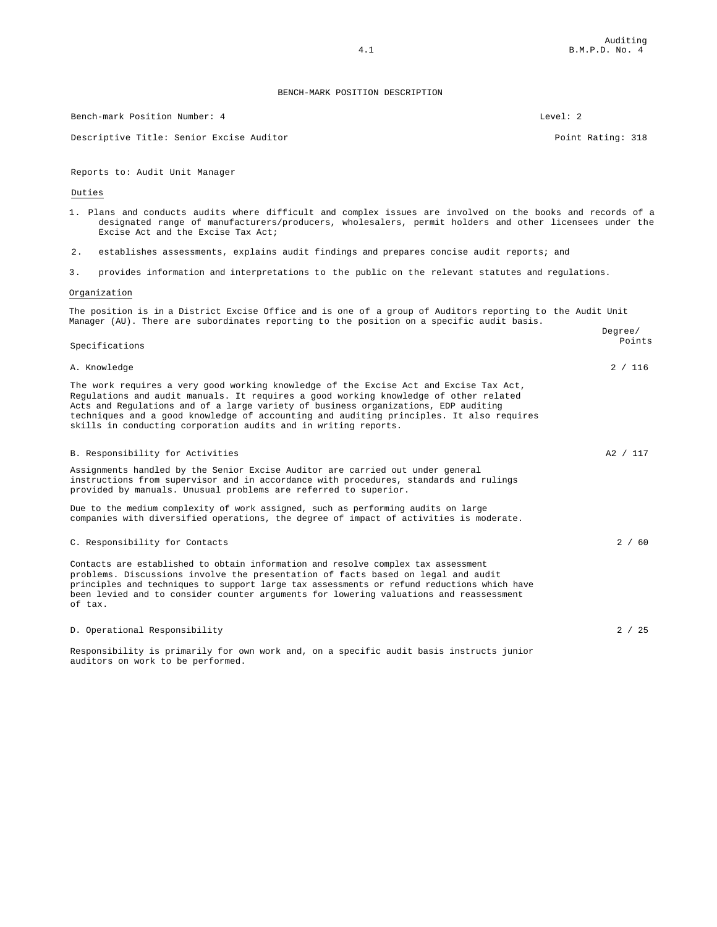Bench-mark Position Number: 4 Level: 2

Descriptive Title: Senior Excise Auditor **Point Rating: 318** Point Rating: 318

Reports to: Audit Unit Manager

Duties

- 1. Plans and conducts audits where difficult and complex issues are involved on the books and records of a designated range of manufacturers/producers, wholesalers, permit holders and other licensees under the Excise Act and the Excise Tax Act;
- 2. establishes assessments, explains audit findings and prepares concise audit reports; and
- 3. provides information and interpretations to the public on the relevant statutes and regulations.

#### Organization

The position is in a District Excise Office and is one of a group of Auditors reporting to the Audit Unit Manager (AU). There are subordinates reporting to the position on a specific audit basis. Degree/

| Specifications                                                                                                                                                                                                                                                                                                                                                                                                                     | レーツエーー /<br>Points |
|------------------------------------------------------------------------------------------------------------------------------------------------------------------------------------------------------------------------------------------------------------------------------------------------------------------------------------------------------------------------------------------------------------------------------------|--------------------|
| A. Knowledge                                                                                                                                                                                                                                                                                                                                                                                                                       | 2 / 116            |
| The work requires a very good working knowledge of the Excise Act and Excise Tax Act,<br>Requlations and audit manuals. It requires a good working knowledge of other related<br>Acts and Requlations and of a large variety of business organizations, EDP auditing<br>techniques and a good knowledge of accounting and auditing principles. It also requires<br>skills in conducting corporation audits and in writing reports. |                    |
| B. Responsibility for Activities                                                                                                                                                                                                                                                                                                                                                                                                   | A2 / 117           |
| Assignments handled by the Senior Excise Auditor are carried out under general<br>instructions from supervisor and in accordance with procedures, standards and rulings<br>provided by manuals. Unusual problems are referred to superior.                                                                                                                                                                                         |                    |
| Due to the medium complexity of work assigned, such as performing audits on large<br>companies with diversified operations, the degree of impact of activities is moderate.                                                                                                                                                                                                                                                        |                    |
| C. Responsibility for Contacts                                                                                                                                                                                                                                                                                                                                                                                                     | 2 / 60             |
| Contacts are established to obtain information and resolve complex tax assessment<br>problems. Discussions involve the presentation of facts based on legal and audit<br>principles and techniques to support large tax assessments or refund reductions which have<br>been levied and to consider counter arguments for lowering valuations and reassessment<br>of tax.                                                           |                    |
| D. Operational Responsibility                                                                                                                                                                                                                                                                                                                                                                                                      | 2 / 25             |

Responsibility is primarily for own work and, on a specific audit basis instructs junior auditors on work to be performed.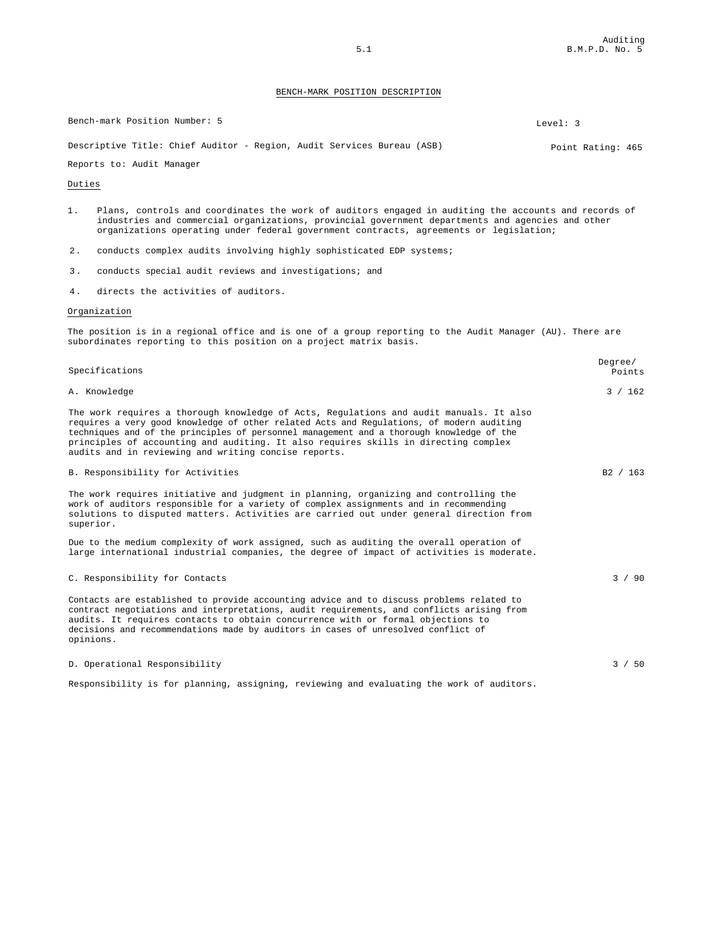| Bench-mark Position Number: 5                                          | Level: 3          |
|------------------------------------------------------------------------|-------------------|
| Descriptive Title: Chief Auditor - Region, Audit Services Bureau (ASB) | Point Rating: 465 |

#### Reports to: Audit Manager

#### Duties

|  |  |  |  |  |  |                                                                                                   |  | Plans, controls and coordinates the work of auditors engaged in auditing the accounts and records of |
|--|--|--|--|--|--|---------------------------------------------------------------------------------------------------|--|------------------------------------------------------------------------------------------------------|
|  |  |  |  |  |  | industries and commercial organizations, provincial government departments and agencies and other |  |                                                                                                      |
|  |  |  |  |  |  | organizations operating under federal government contracts, agreements or legislation;            |  |                                                                                                      |

- 2. conducts complex audits involving highly sophisticated EDP systems;
- 3 . conducts special audit reviews and investigations; and
- 4. directs the activities of auditors.

#### Organization

The position is in a regional office and is one of a group reporting to the Audit Manager (AU). There are subordinates reporting to this position on a project matrix basis.

| Specifications                                                                                                                                                                                                                                                                                                                                                                                                                | Degree/<br>Points |
|-------------------------------------------------------------------------------------------------------------------------------------------------------------------------------------------------------------------------------------------------------------------------------------------------------------------------------------------------------------------------------------------------------------------------------|-------------------|
| A. Knowledge                                                                                                                                                                                                                                                                                                                                                                                                                  | 3 / 162           |
| The work requires a thorough knowledge of Acts, Regulations and audit manuals. It also<br>requires a very good knowledge of other related Acts and Regulations, of modern auditing<br>techniques and of the principles of personnel management and a thorough knowledge of the<br>principles of accounting and auditing. It also requires skills in directing complex<br>audits and in reviewing and writing concise reports. |                   |
| B. Responsibility for Activities                                                                                                                                                                                                                                                                                                                                                                                              | B2 / 163          |
| The work requires initiative and judgment in planning, organizing and controlling the<br>work of auditors responsible for a variety of complex assignments and in recommending<br>solutions to disputed matters. Activities are carried out under general direction from<br>superior.                                                                                                                                         |                   |
| Due to the medium complexity of work assigned, such as auditing the overall operation of<br>large international industrial companies, the degree of impact of activities is moderate.                                                                                                                                                                                                                                         |                   |
| C. Responsibility for Contacts                                                                                                                                                                                                                                                                                                                                                                                                | 3 / 90            |
| Contacts are established to provide accounting advice and to discuss problems related to<br>contract negotiations and interpretations, audit requirements, and conflicts arising from<br>audits. It requires contacts to obtain concurrence with or formal objections to<br>decisions and recommendations made by auditors in cases of unresolved conflict of<br>opinions.                                                    |                   |
| D. Operational Responsibility                                                                                                                                                                                                                                                                                                                                                                                                 | 3 / 50            |

Responsibility is for planning, assigning, reviewing and evaluating the work of auditors.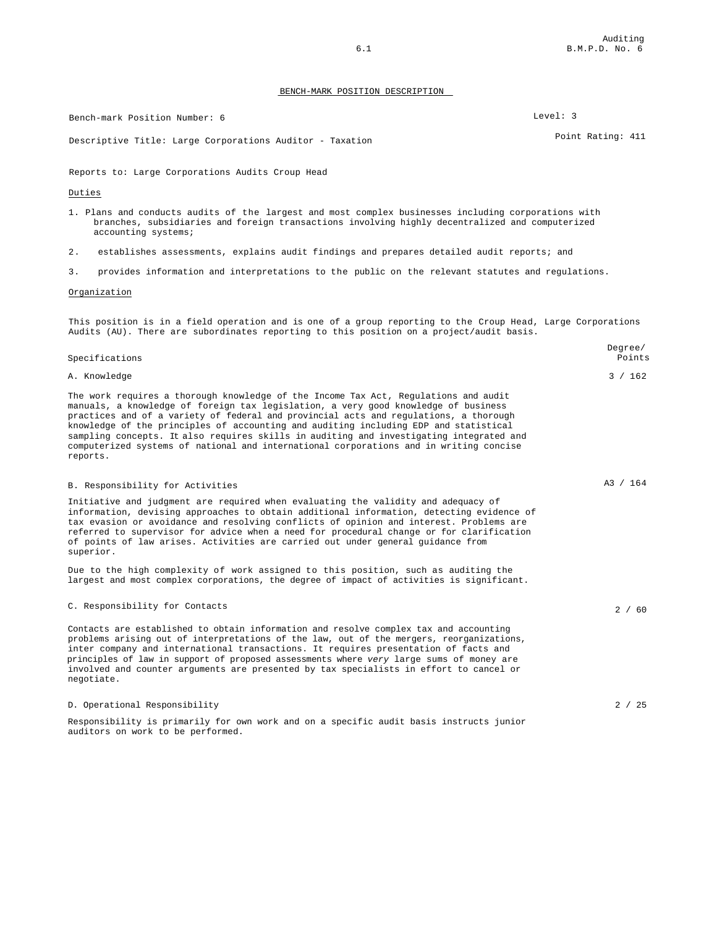Bench-mark Position Number: 6 Level: 3

Descriptive Title: Large Corporations Auditor - Taxation entitled and the Country Point Rating: 411

Reports to: Large Corporations Audits Croup Head

Duties

- 1. Plans and conducts audits of the largest and most complex businesses including corporations with branches, subsidiaries and foreign transactions involving highly decentralized and computerized accounting systems;
- 2. establishes assessments, explains audit findings and prepares detailed audit reports; and
- 3. provides information and interpretations to the public on the relevant statutes and regulations.

#### Organization

This position is in a field operation and is one of a group reporting to the Croup Head, Large Corporations Audits (AU). There are subordinates reporting to this position on a project/audit basis.

| Specifications                                                                                                                                                                                                                                                                                                                                                                                                                                                                                                                                              | Points   |
|-------------------------------------------------------------------------------------------------------------------------------------------------------------------------------------------------------------------------------------------------------------------------------------------------------------------------------------------------------------------------------------------------------------------------------------------------------------------------------------------------------------------------------------------------------------|----------|
| A. Knowledge                                                                                                                                                                                                                                                                                                                                                                                                                                                                                                                                                | 3 / 162  |
| The work requires a thorough knowledge of the Income Tax Act, Requiations and audit<br>manuals, a knowledge of foreign tax legislation, a very good knowledge of business<br>practices and of a variety of federal and provincial acts and regulations, a thorough<br>knowledge of the principles of accounting and auditing including EDP and statistical<br>sampling concepts. It also requires skills in auditing and investigating integrated and<br>computerized systems of national and international corporations and in writing concise<br>reports. |          |
| B. Responsibility for Activities                                                                                                                                                                                                                                                                                                                                                                                                                                                                                                                            | A3 / 164 |
| Initiative and judgment are required when evaluating the validity and adequacy of<br>information, devising approaches to obtain additional information, detecting evidence of<br>tax evasion or avoidance and resolving conflicts of opinion and interest. Problems are<br>referred to supervisor for advice when a need for procedural change or for clarification<br>of points of law arises. Activities are carried out under general quidance from<br>superior.                                                                                         |          |
| Due to the high complexity of work assigned to this position, such as auditing the<br>largest and most complex corporations, the degree of impact of activities is significant.                                                                                                                                                                                                                                                                                                                                                                             |          |
| C. Responsibility for Contacts                                                                                                                                                                                                                                                                                                                                                                                                                                                                                                                              | 2/60     |
| Contacts are established to obtain information and resolve complex tax and accounting<br>problems arising out of interpretations of the law, out of the mergers, reorganizations,<br>inter company and international transactions. It requires presentation of facts and<br>principles of law in support of proposed assessments where very large sums of money are<br>involved and counter arguments are presented by tax specialists in effort to cancel or<br>negotiate.                                                                                 |          |
| D. Operational Responsibility                                                                                                                                                                                                                                                                                                                                                                                                                                                                                                                               | 2 / 25   |

Responsibility is primarily for own work and on a specific audit basis instructs junior auditors on work to be performed.

Degree/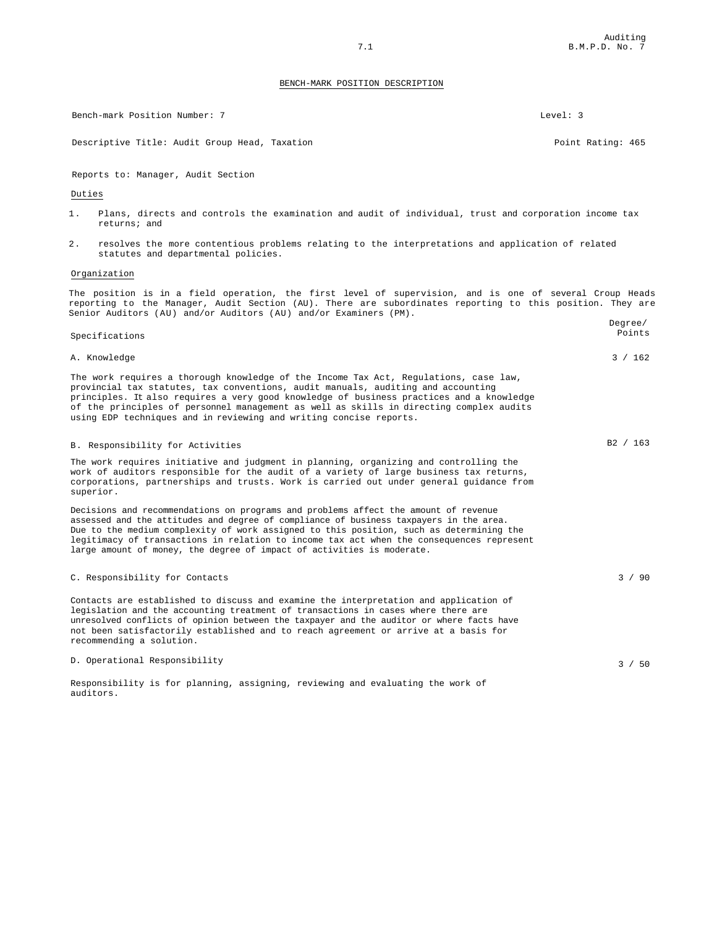Auditing 7.1 B.M.P.D. No. 7

#### BENCH-MARK POSITION DESCRIPTION

Bench-mark Position Number: 7 Level: 3 Descriptive Title: Audit Group Head, Taxation Point Rating: 465 Reports to: Manager, Audit Section Duties 1. Plans, directs and controls the examination and audit of individual, trust and corporation income tax returns; and 2. resolves the more contentious problems relating to the interpretations and application of related statutes and departmental policies. Organization The position is in a field operation, the first level of supervision, and is one of several Croup Heads reporting to the Manager, Audit Section (AU). There are subordinates reporting to this position. They are Senior Auditors (AU) and/or Auditors (AU) and/or Examiners (PM). Specifications Degree/ Points A. Knowledge 3 / 162 metals and the set of the set of the set of the set of the set of the set of the set of the set of the set of the set of the set of the set of the set of the set of the set of the set of the set of the The work requires a thorough knowledge of the Income Tax Act, Regulations, case law, provincial tax statutes, tax conventions, audit manuals, auditing and accounting principles. It also requires a very good knowledge of business practices and a knowledge of the principles of personnel management as well as skills in directing complex audits using EDP techniques and in reviewing and writing concise reports. B. Responsibility for Activities B2 / 163 The work requires initiative and judgment in planning, organizing and controlling the work of auditors responsible for the audit of a variety of large business tax returns, corporations, partnerships and trusts. Work is carried out under general guidance from superior. Decisions and recommendations on programs and problems affect the amount of revenue assessed and the attitudes and degree of compliance of business taxpayers in the area. Due to the medium complexity of work assigned to this position, such as determining the legitimacy of transactions in relation to income tax act when the consequences represent large amount of money, the degree of impact of activities is moderate. C. Responsibility for Contacts 3 / 90

Contacts are established to discuss and examine the interpretation and application of legislation and the accounting treatment of transactions in cases where there are unresolved conflicts of opinion between the taxpayer and the auditor or where facts have not been satisfactorily established and to reach agreement or arrive at a basis for recommending a solution.

#### D. Operational Responsibility 3 / 50

Responsibility is for planning, assigning, reviewing and evaluating the work of auditors.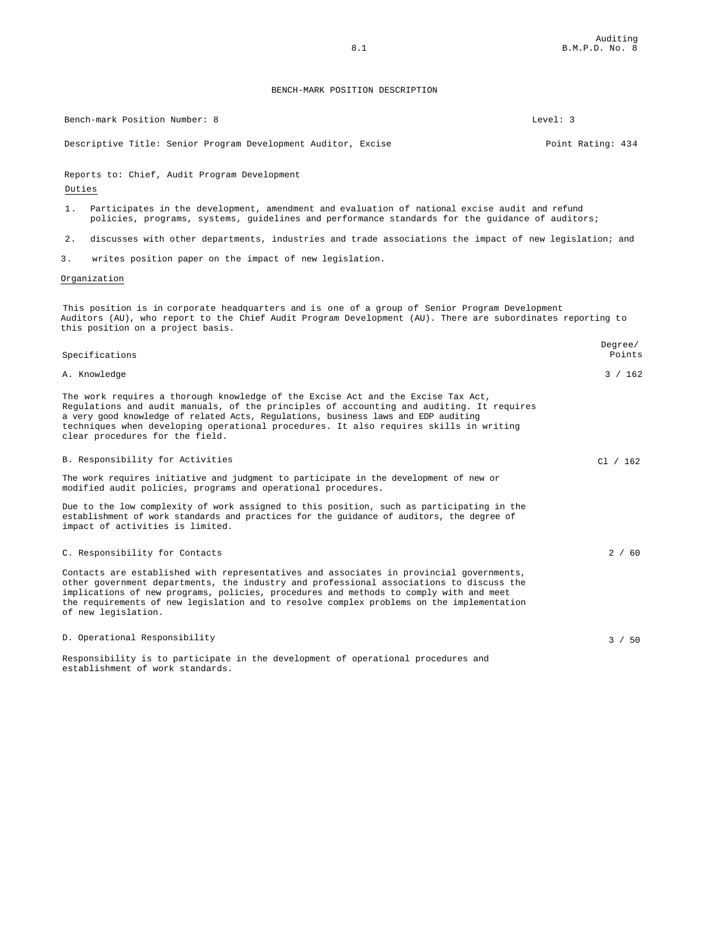Bench-mark Position Number: 8 Level: 3

establishment of work standards.

Descriptive Title: Senior Program Development Auditor, Excise Point Rating: 434

Reports to: Chief, Audit Program Development

#### Duties

- 1. Participates in the development, amendment and evaluation of national excise audit and refund policies, programs, systems, guidelines and performance standards for the guidance of auditors;
- 2. discusses with other departments, industries and trade associations the impact of new legislation; and
- 3. writes position paper on the impact of new legislation.

#### Organization

This position is in corporate headquarters and is one of a group of Senior Program Development Auditors (AU), who report to the Chief Audit Program Development (AU). There are subordinates reporting to this position on a project basis.

| Specifications                                                                                                                                                                                                                                                                                                                                                                                   | Degree/<br>Points |
|--------------------------------------------------------------------------------------------------------------------------------------------------------------------------------------------------------------------------------------------------------------------------------------------------------------------------------------------------------------------------------------------------|-------------------|
| A. Knowledge                                                                                                                                                                                                                                                                                                                                                                                     | 3 / 162           |
| The work requires a thorough knowledge of the Excise Act and the Excise Tax Act,<br>Requlations and audit manuals, of the principles of accounting and auditing. It requires<br>a very good knowledge of related Acts, Regulations, business laws and EDP auditing<br>techniques when developing operational procedures. It also requires skills in writing<br>clear procedures for the field.   |                   |
| B. Responsibility for Activities                                                                                                                                                                                                                                                                                                                                                                 | Cl / 162          |
| The work requires initiative and judgment to participate in the development of new or<br>modified audit policies, programs and operational procedures.                                                                                                                                                                                                                                           |                   |
| Due to the low complexity of work assigned to this position, such as participating in the<br>establishment of work standards and practices for the quidance of auditors, the degree of<br>impact of activities is limited.                                                                                                                                                                       |                   |
| C. Responsibility for Contacts                                                                                                                                                                                                                                                                                                                                                                   | 2/60              |
| Contacts are established with representatives and associates in provincial governments,<br>other government departments, the industry and professional associations to discuss the<br>implications of new programs, policies, procedures and methods to comply with and meet<br>the requirements of new legislation and to resolve complex problems on the implementation<br>of new legislation. |                   |
| D. Operational Responsibility                                                                                                                                                                                                                                                                                                                                                                    | 3 / 50            |

Responsibility is to participate in the development of operational procedures and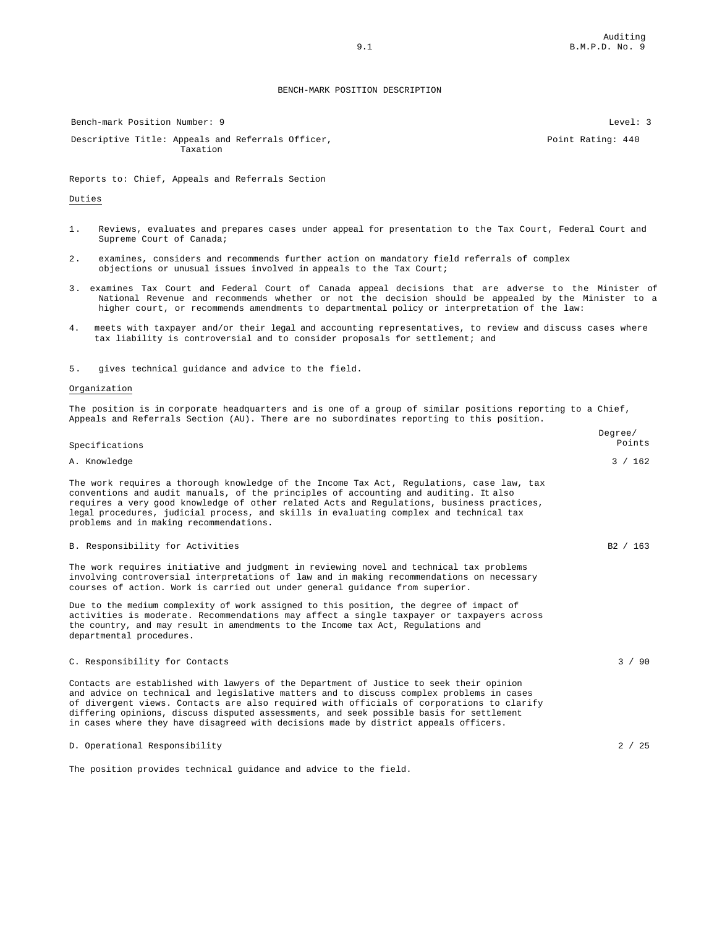Bench-mark Position Number: 9 Level: 3

Descriptive Title: Appeals and Referrals Officer, Taxation

Reports to: Chief, Appeals and Referrals Section

#### Duties

- 1. Reviews, evaluates and prepares cases under appeal for presentation to the Tax Court, Federal Court and Supreme Court of Canada;
- 2. examines, considers and recommends further action on mandatory field referrals of complex objections or unusual issues involved in appeals to the Tax Court;
- 3. examines Tax Court and Federal Court of Canada appeal decisions that are adverse to the Minister of National Revenue and recommends whether or not the decision should be appealed by the Minister to a higher court, or recommends amendments to departmental policy or interpretation of the law:
- 4. meets with taxpayer and/or their legal and accounting representatives, to review and discuss cases where tax liability is controversial and to consider proposals for settlement; and

5. gives technical guidance and advice to the field.

#### Organization

The position is in corporate headquarters and is one of a group of similar positions reporting to a Chief, Appeals and Referrals Section (AU). There are no subordinates reporting to this position.

| Specifications                                                                                                                                                                                                                                                                                                                                                                                                                                                       | Degree/<br>Points |
|----------------------------------------------------------------------------------------------------------------------------------------------------------------------------------------------------------------------------------------------------------------------------------------------------------------------------------------------------------------------------------------------------------------------------------------------------------------------|-------------------|
| A. Knowledge                                                                                                                                                                                                                                                                                                                                                                                                                                                         | 3 / 162           |
| The work requires a thorough knowledge of the Income Tax Act, Requiations, case law, tax<br>conventions and audit manuals, of the principles of accounting and auditing. It also<br>requires a very good knowledge of other related Acts and Requlations, business practices,<br>legal procedures, judicial process, and skills in evaluating complex and technical tax<br>problems and in making recommendations.                                                   |                   |
| B. Responsibility for Activities                                                                                                                                                                                                                                                                                                                                                                                                                                     | B2 / 163          |
| The work requires initiative and judgment in reviewing novel and technical tax problems<br>involving controversial interpretations of law and in making recommendations on necessary<br>courses of action. Work is carried out under general quidance from superior.                                                                                                                                                                                                 |                   |
| Due to the medium complexity of work assigned to this position, the degree of impact of<br>activities is moderate. Recommendations may affect a single taxpayer or taxpayers across<br>the country, and may result in amendments to the Income tax Act, Requiations and<br>departmental procedures.                                                                                                                                                                  |                   |
| C. Responsibility for Contacts                                                                                                                                                                                                                                                                                                                                                                                                                                       | 3 / 90            |
| Contacts are established with lawyers of the Department of Justice to seek their opinion<br>and advice on technical and legislative matters and to discuss complex problems in cases<br>of divergent views. Contacts are also required with officials of corporations to clarify<br>differing opinions, discuss disputed assessments, and seek possible basis for settlement<br>in cases where they have disagreed with decisions made by district appeals officers. |                   |
| D. Operational Responsibility                                                                                                                                                                                                                                                                                                                                                                                                                                        | 2 / 25            |
| The position provides technical quidance and advice to the field.                                                                                                                                                                                                                                                                                                                                                                                                    |                   |

Point Rating: 440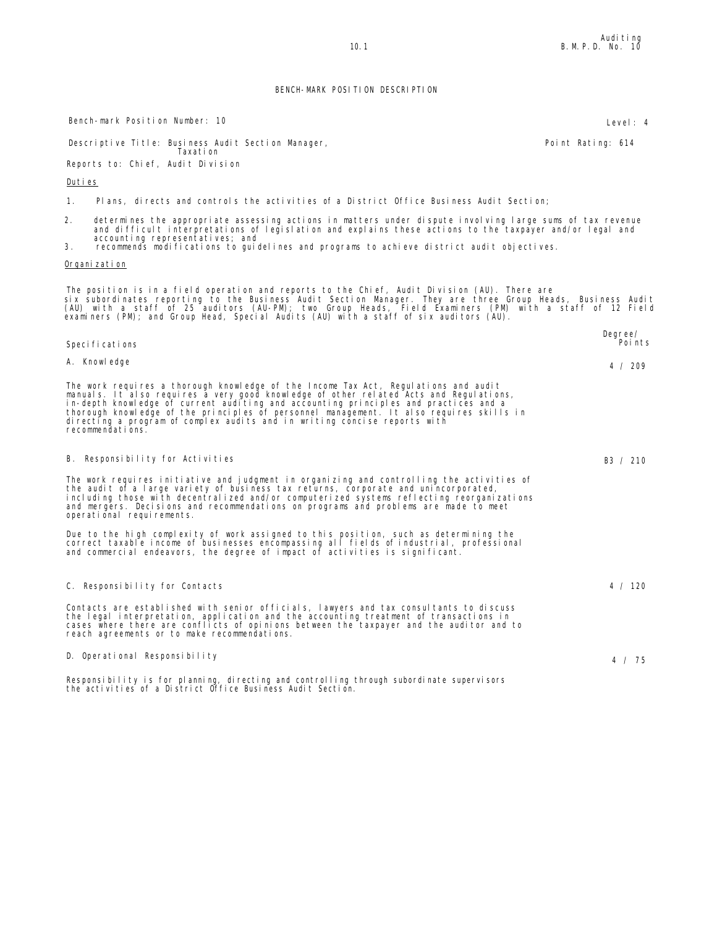Bench-mark Position Number: 10 Level: 4

Descriptive Title: Business Audit Section Manager, Taxation

Reports to: Chief, Audit Division

#### Duties

1. Plans, directs and controls the activities of a District Office Business Audit Section;

- 2. determines the appropriate assessing actions in matters under dispute involving large sums of tax revenue<br>and difficult interpretations of legislation and explains these actions to the taxpayer and/or legal and<br>accounti
- 3. recommends modifications to guidelines and programs to achieve district audit objectives.

#### Organization

The position is in a field operation and reports to the Chief, Audit Division (AU). There are<br>six subordinates reporting to the Business Audit Section Manager. They are three Group Heads, Business Audit<br>(AU) with a staff o

| Speci fi cati ons                                                                                                                                                                                                                                                                                                                                                                                                                                                  | Degree/<br>Poi nts |
|--------------------------------------------------------------------------------------------------------------------------------------------------------------------------------------------------------------------------------------------------------------------------------------------------------------------------------------------------------------------------------------------------------------------------------------------------------------------|--------------------|
| A. Knowledge                                                                                                                                                                                                                                                                                                                                                                                                                                                       | 4 / 209            |
| The work requires a thorough knowledge of the Income Tax Act, Regulations and audit<br>manuals. It also requires a very good knowledge of other related Acts and Regulations,<br>in-depth knowledge of current auditing and accounting principles and practices and a<br>thorough knowledge of the principles of personnel management. It also requires skills in<br>directing a program of complex audits and in writing concise reports with<br>recommendations. |                    |
| B. Responsibility for Activities                                                                                                                                                                                                                                                                                                                                                                                                                                   | B3 / 210           |
| The work requires initiative and judgment in organizing and controlling the activities of<br>the audit of a large variety of business tax returns, corporate and unincorporated,<br>including those with decentralized and/or computerized systems reflecting reorganizations                                                                                                                                                                                      |                    |

and mergers. Decisions and recommendations on programs and problems are made to meet operational requirements.

Due to the high complexity of work assigned to this position, such as determining the<br>correct taxable income of businesses encompassing all fields ofindustrial, professional<br>and commercial endeavors, the degree ofimpact of

#### C. Responsibility for Contacts 4 / 120

Contacts are established with senior officials, lawyers and tax consultants to discuss the legal interpretation, application and the accounting treatment of transactions in cases where there are conflicts of opinions between the taxpayer and the auditor and to reach agreements or to make recommendations.

#### D. Operational Responsibility and the contract of the contract of the contract of the contract of the contract of the contract of the contract of the contract of the contract of the contract of the contract of the contract

Responsibility is for planning, directing and controlling through subordinate supervisors the activities of a District Office Business Audit Section.

Point Rating: 614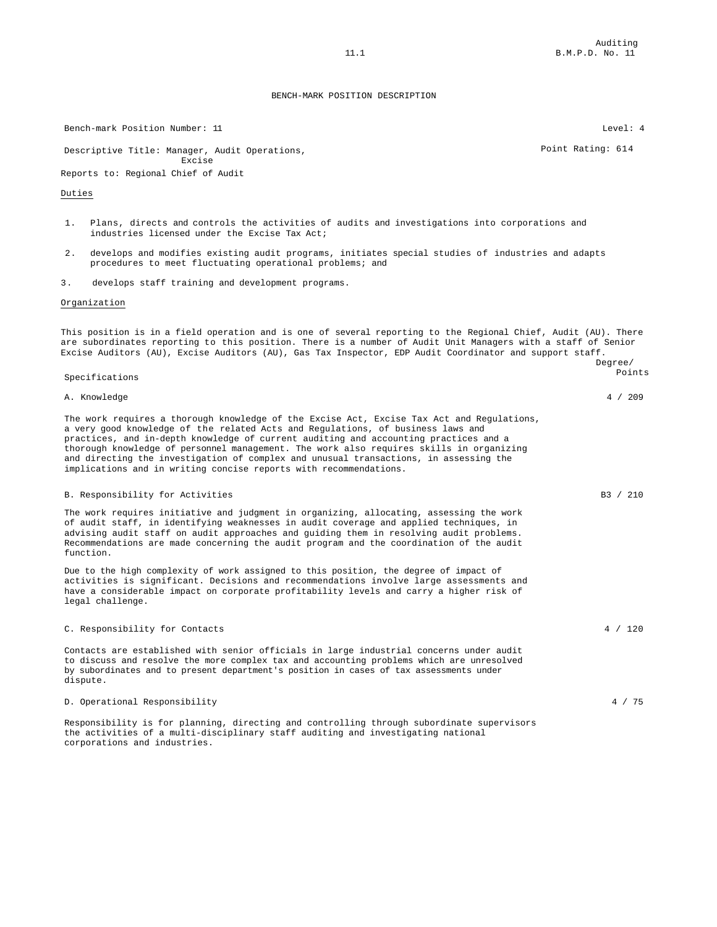Bench-mark Position Number: 11 and 2008 and 2008 and 2008 and 2008 and 2008 and 2008 and 2008 and 2008 and 200 Descriptive Title: Manager, Audit Operations, Excise Point Rating: 614 Reports to: Regional Chief of Audit Duties 1. Plans, directs and controls the activities of audits and investigations into corporations and industries licensed under the Excise Tax Act; 2. develops and modifies existing audit programs, initiates special studies of industries and adapts procedures to meet fluctuating operational problems; and 3. develops staff training and development programs. Organization This position is in a field operation and is one of several reporting to the Regional Chief, Audit (AU). There are subordinates reporting to this position. There is a number of Audit Unit Managers with a staff of Senior Excise Auditors (AU), Excise Auditors (AU), Gas Tax Inspector, EDP Audit Coordinator and support staff. Specifications Degree/ Points A. Knowledge 4 / 209 The work requires a thorough knowledge of the Excise Act, Excise Tax Act and Regulations, a very good knowledge of the related Acts and Regulations, of business laws and practices, and in-depth knowledge of current auditing and accounting practices and a thorough knowledge of personnel management. The work also requires skills in organizing and directing the investigation of complex and unusual transactions, in assessing the implications and in writing concise reports with recommendations. B. Responsibility for Activities and B3 / 210 The work requires initiative and judgment in organizing, allocating, assessing the work of audit staff, in identifying weaknesses in audit coverage and applied techniques, in advising audit staff on audit approaches and guiding them in resolving audit problems. Recommendations are made concerning the audit program and the coordination of the audit function. Due to the high complexity of work assigned to this position, the degree of impact of activities is significant. Decisions and recommendations involve large assessments and have a considerable impact on corporate profitability levels and carry a higher risk of legal challenge. C. Responsibility for Contacts 4 / 120 Contacts are established with senior officials in large industrial concerns under audit to discuss and resolve the more complex tax and accounting problems which are unresolved by subordinates and to present department's position in cases of tax assessments under dispute. D. Operational Responsibility 4 / 75 Responsibility is for planning, directing and controlling through subordinate supervisors the activities of a multi-disciplinary staff auditing and investigating national

corporations and industries.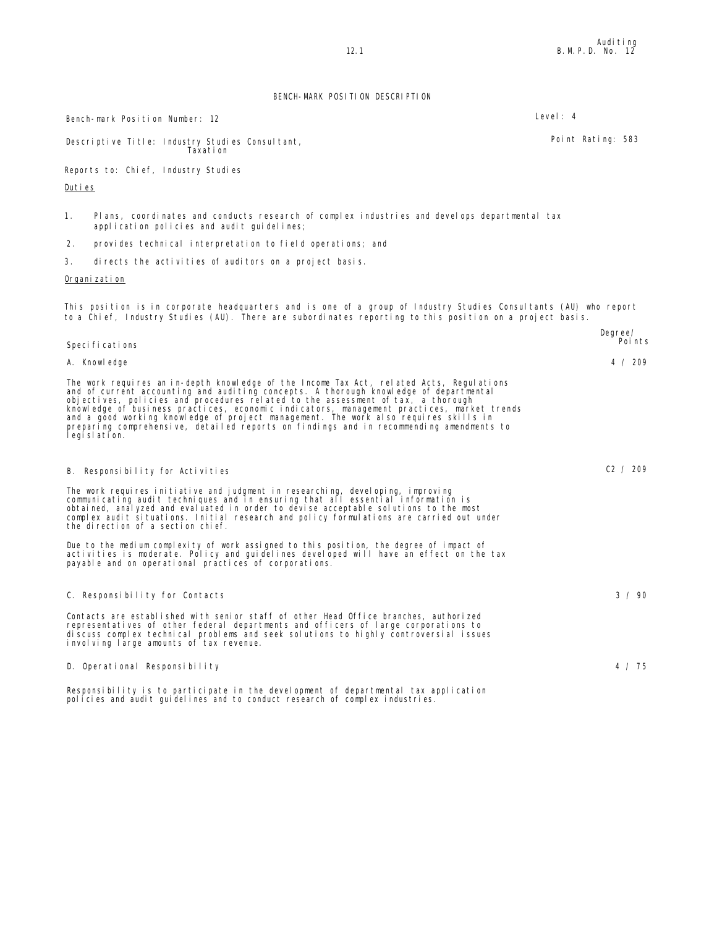Descriptive Title: Industry Studies Consultant, Taxation Point Rating: 583 Reports to: Chief, Industry Studies Duties 1. Plans, coordinates and conducts research of complex industries and develops departmental tax application policies and audit guidelines; 2. provides technical interpretation to field operations; and 3. directs the activities of auditors on a project basis. Organization This position is in corporate headquarters and is one of a group of Industry Studies Consultants (AU) who report to a Chief, Industry Studies (AU). There are subordinates reporting to this position on a project basis. Specifications Degree/ Points A. Knowledge 4 / 209 The work requires an in-depth knowledge of the Income Tax Act, related Acts, Regulations and of current accounting and auditing concepts. A thorough knowledge of departmental<br>objectives, policies and procedures related to the assessment of tax, a thorough<br>knowledge of business practices, economic indicators, m B. Responsibility for Activities C2 / 209 The work requires initiative and judgment in researching, developing, improving communicating audit techniques and in ensuring that all essential information is obtained, analyzed and evaluated in order to devise acceptable solutions to the most complex audit situations. Initial research and policy formulations are carried out under the direction of a section chief. Due to the medium complexity of work assigned to this position, the degree of impact of<br>activities is moderate. Policy and guidelines developed will have an effect on the tax<br>payable and on operational practices of corpora C. Responsibility for Contacts 3 / 90

Contacts are established with senior staff of other Head Office branches, authorized representatives of other federal departments and officers of large corporations to discuss complex technical problems and seek solutions to highly controversial issues involving large amounts of tax revenue.

D. Operational Responsibility 4 / 75

Responsibility is to participate in the development of departmental tax application policies and audit guidelines and to conduct research of complex industries.

Bench-mark Position Number: 12 Level: 4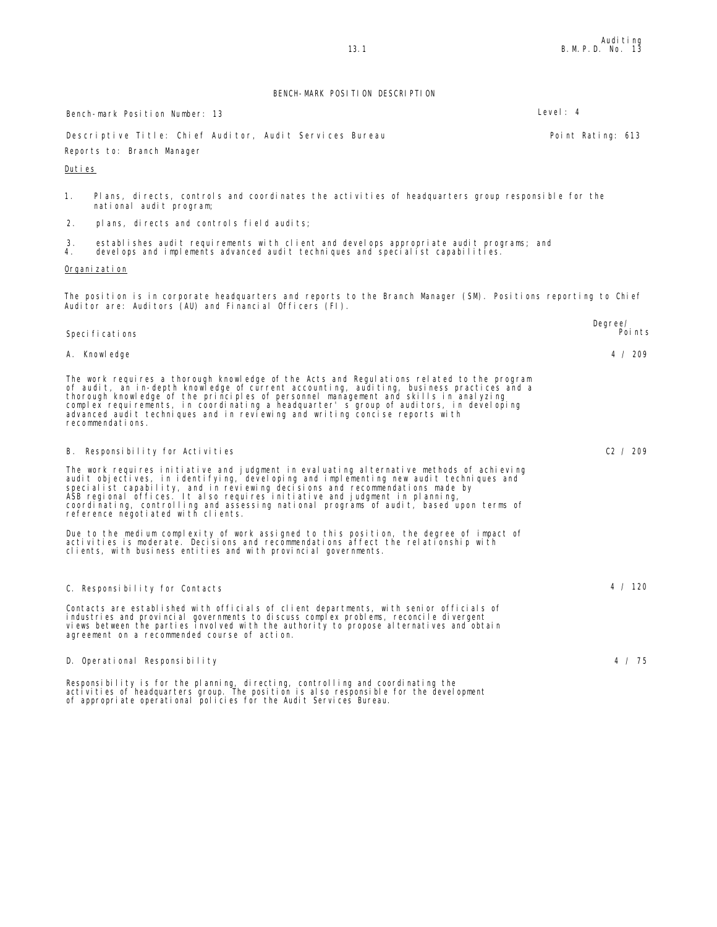|          | Bench-mark Position Number: 13                                                                                                                                                                                                                                                                                                                                                                                                                                                      | Level: 4          |
|----------|-------------------------------------------------------------------------------------------------------------------------------------------------------------------------------------------------------------------------------------------------------------------------------------------------------------------------------------------------------------------------------------------------------------------------------------------------------------------------------------|-------------------|
|          | Descriptive Title: Chief Auditor, Audit Services Bureau                                                                                                                                                                                                                                                                                                                                                                                                                             | Point Rating: 613 |
|          | Reports to: Branch Manager                                                                                                                                                                                                                                                                                                                                                                                                                                                          |                   |
| Duties   |                                                                                                                                                                                                                                                                                                                                                                                                                                                                                     |                   |
| 1.       | Plans, directs, controls and coordinates the activities of headquarters group responsible for the<br>national audit program;                                                                                                                                                                                                                                                                                                                                                        |                   |
| 2.       | plans, directs and controls field audits;                                                                                                                                                                                                                                                                                                                                                                                                                                           |                   |
| 3.<br>4. | establishes audit requirements with client and develops appropriate audit programs; and<br>develops and implements advanced audit techniques and specialist capabilities.                                                                                                                                                                                                                                                                                                           |                   |
|          | Organi zati on                                                                                                                                                                                                                                                                                                                                                                                                                                                                      |                   |
|          | The position is in corporate headquarters and reports to the Branch Manager (SM). Positions reporting to Chief<br>Auditor are: Auditors (AU) and Financial Officers (FI).                                                                                                                                                                                                                                                                                                           |                   |
|          |                                                                                                                                                                                                                                                                                                                                                                                                                                                                                     | Degree/<br>Points |
|          | Speci fi cati ons                                                                                                                                                                                                                                                                                                                                                                                                                                                                   |                   |
|          | A. Knowledge                                                                                                                                                                                                                                                                                                                                                                                                                                                                        | 4 / 209           |
|          | The work requires a thorough knowledge of the Acts and Regulations related to the program<br>of audit, an in-depth knowledge of current accounting, auditing, business practices and a<br>thorough knowledge of the principles of personnel management and skills in analyzing<br>complex requirements, in coordinating a headquarter' s group of auditors, in developing<br>advanced audit techniques and in reviewing and writing concise reports with<br>recommendations.        |                   |
|          | B. Responsibility for Activities                                                                                                                                                                                                                                                                                                                                                                                                                                                    | C2 / 209          |
|          | The work requires initiative and judgment in evaluating alternative methods of achieving<br>audit objectives, in identifying, developing and implementing new audit techniques and<br>specialist capability, and in reviewing decisions and recommendations made by<br>ASB regional offices. It also requires initiative and judgment in planning,<br>coordinating, controlling and assessing national programs of audit, based upon terms of<br>reference negotiated with clients. |                   |
|          | Due to the medium complexity of work assigned to this position, the degree of impact of<br>activities is moderate. Decisions and recommendations affect the relationship with<br>clients, with business entities and with provincial governments.                                                                                                                                                                                                                                   |                   |
|          | C. Responsibility for Contacts                                                                                                                                                                                                                                                                                                                                                                                                                                                      | 4 / 120           |
|          | Contacts are established with officials of client departments, with senior officials of<br>industries and provincial governments to discuss complex problems, reconcile divergent<br>views between the parties involved with the authority to propose alternatives and obtain<br>agreement on a recommended course of action.                                                                                                                                                       |                   |
|          | D. Operational Responsibility                                                                                                                                                                                                                                                                                                                                                                                                                                                       | 4 / 75            |
|          | Responsibility is for the planning, directing, controlling and coordinating the<br>activities of headquarters group. The position is also responsible for the development<br>of appropriate operational policies for the Audit Services Bureau.                                                                                                                                                                                                                                     |                   |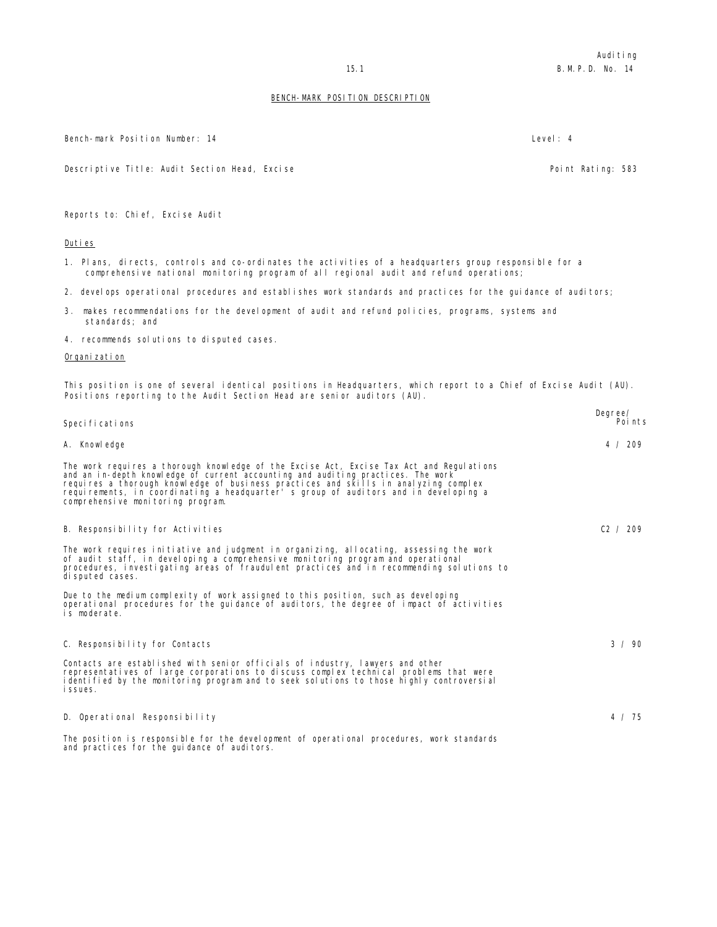Bench-mark Position Number: 14 Level: 4

Descriptive Title: Audit Section Head, Excise Point Rating: 583

Reports to: Chief, Excise Audit

#### Duties

- 1. Plans, directs, controls and co-ordinates the activities of a headquarters group responsible for a comprehensive national monitoring program of all regional audit and refund operations;
- 2. develops operational procedures and establishes work standards and practices for the guidance of auditors;
- 3. makes recommendations for the development of audit and refund policies, programs, systems and standards; and
- 4. recommends solutions to disputed cases.

#### Organi zati on

This position is one of several identical positions in Headquarters, which report to a Chief of Excise Audit (AU). Positions reporting to the Audit Section Head are senior auditors (AU).

| Speci fi cati ons                                                                                                                                                                                                                                                                                                                                                                               | Degree/<br>Poi nts |
|-------------------------------------------------------------------------------------------------------------------------------------------------------------------------------------------------------------------------------------------------------------------------------------------------------------------------------------------------------------------------------------------------|--------------------|
| A. Knowledge                                                                                                                                                                                                                                                                                                                                                                                    | 4 / 209            |
| The work requires a thorough knowledge of the Excise Act, Excise Tax Act and Requiations<br>and an in-depth knowledge of current accounting and auditing practices. The work<br>requires a thorough knowledge of business practices and skills in analyzing complex<br>requirements, in coordinating a headquarter's group of auditors and in developing a<br>comprehensive monitoring program. |                    |
| B. Responsibility for Activities                                                                                                                                                                                                                                                                                                                                                                | C2 / 209           |
| The work requires initiative and judgment in organizing, allocating, assessing the work<br>of audit staff, in developing a comprehensive monitoring program and operational<br>procedures, investigating areas of fraudulent practices and in recommending solutions to<br>di sputed cases.                                                                                                     |                    |
| Due to the medium complexity of work assigned to this position, such as developing<br>operational procedures for the quidance of auditors, the degree of impact of activities<br>is moderate.                                                                                                                                                                                                   |                    |
| C. Responsibility for Contacts                                                                                                                                                                                                                                                                                                                                                                  | 3 / 90             |
| Contacts are established with senior officials of industry, lawyers and other<br>representatives of large corporations to discuss complex technical problems that were<br>identified by the monitoring program and to seek solutions to those highly controversial<br><i>i</i> ssues.                                                                                                           |                    |
| D. Operational Responsibility                                                                                                                                                                                                                                                                                                                                                                   | 4 / 75             |
| The position is responsible for the development of operational procedures, work standards<br>and practices for the quidance of auditors.                                                                                                                                                                                                                                                        |                    |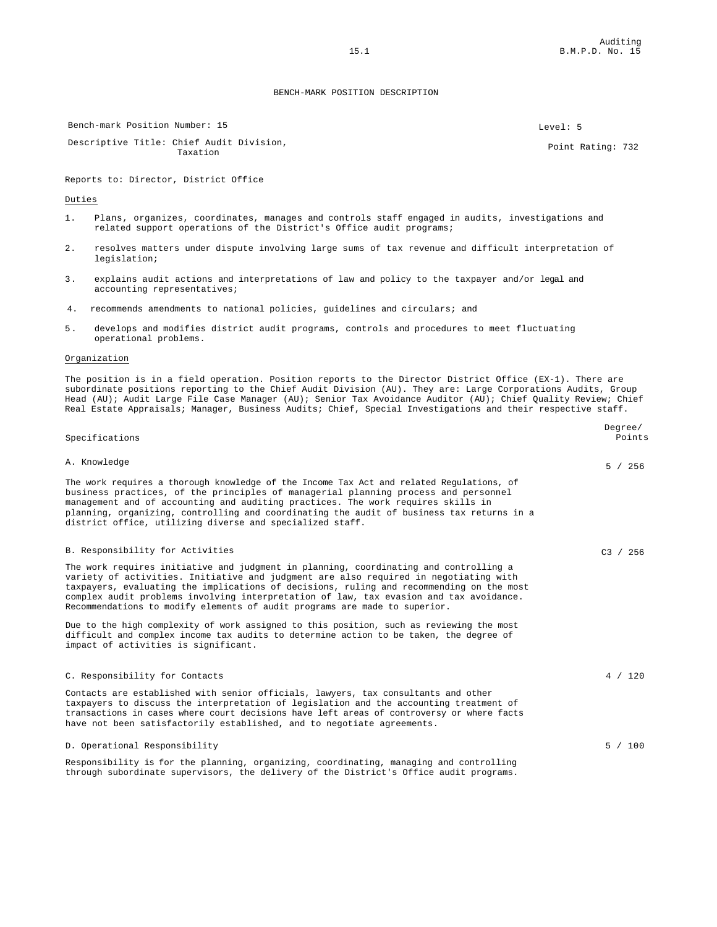Bench-mark Position Number: 15 Server 2020 1: 5 Level: 5 Level: 5

Descriptive Title: Chief Audit Division, nter Addit Division, and the control of the control of the Point Rating: 732 Point Rating: 732

Reports to: Director, District Office

Duties

- 1. Plans, organizes, coordinates, manages and controls staff engaged in audits, investigations and related support operations of the District's Office audit programs;
- 2. resolves matters under dispute involving large sums of tax revenue and difficult interpretation of legislation;
- 3. explains audit actions and interpretations of law and policy to the taxpayer and/or legal and accounting representatives;
- 4. recommends amendments to national policies, guidelines and circulars; and
- 5. develops and modifies district audit programs, controls and procedures to meet fluctuating operational problems.

#### Organization

The position is in a field operation. Position reports to the Director District Office (EX-1). There are subordinate positions reporting to the Chief Audit Division (AU). They are: Large Corporations Audits, Group Head (AU); Audit Large File Case Manager (AU); Senior Tax Avoidance Auditor (AU); Chief Quality Review; Chief Real Estate Appraisals; Manager, Business Audits; Chief, Special Investigations and their respective staff.

| Specifications                                                                                                                                                                                                                                                                                                                                                                                                                                    | Degree/<br>Points |
|---------------------------------------------------------------------------------------------------------------------------------------------------------------------------------------------------------------------------------------------------------------------------------------------------------------------------------------------------------------------------------------------------------------------------------------------------|-------------------|
| A. Knowledge                                                                                                                                                                                                                                                                                                                                                                                                                                      | 5 / 256           |
| The work requires a thorough knowledge of the Income Tax Act and related Regulations, of<br>business practices, of the principles of managerial planning process and personnel<br>management and of accounting and auditing practices. The work requires skills in<br>planning, organizing, controlling and coordinating the audit of business tax returns in a<br>district office, utilizing diverse and specialized staff.                      |                   |
| B. Responsibility for Activities                                                                                                                                                                                                                                                                                                                                                                                                                  | C3 / 256          |
| The work requires initiative and judgment in planning, coordinating and controlling a<br>variety of activities. Initiative and judgment are also required in negotiating with<br>taxpayers, evaluating the implications of decisions, ruling and recommending on the most<br>complex audit problems involving interpretation of law, tax evasion and tax avoidance.<br>Recommendations to modify elements of audit programs are made to superior. |                   |
| Due to the high complexity of work assigned to this position, such as reviewing the most<br>difficult and complex income tax audits to determine action to be taken, the degree of<br>impact of activities is significant.                                                                                                                                                                                                                        |                   |
| C. Responsibility for Contacts                                                                                                                                                                                                                                                                                                                                                                                                                    | 4 / 120           |
| Contacts are established with senior officials, lawyers, tax consultants and other<br>taxpayers to discuss the interpretation of legislation and the accounting treatment of<br>transactions in cases where court decisions have left areas of controversy or where facts<br>have not been satisfactorily established, and to negotiate agreements.                                                                                               |                   |
| D. Operational Responsibility                                                                                                                                                                                                                                                                                                                                                                                                                     | 5 / 100           |
| Responsibility is for the planning, organizing, coordinating, managing and controlling<br>through subordinate supervisors, the delivery of the District's Office audit programs.                                                                                                                                                                                                                                                                  |                   |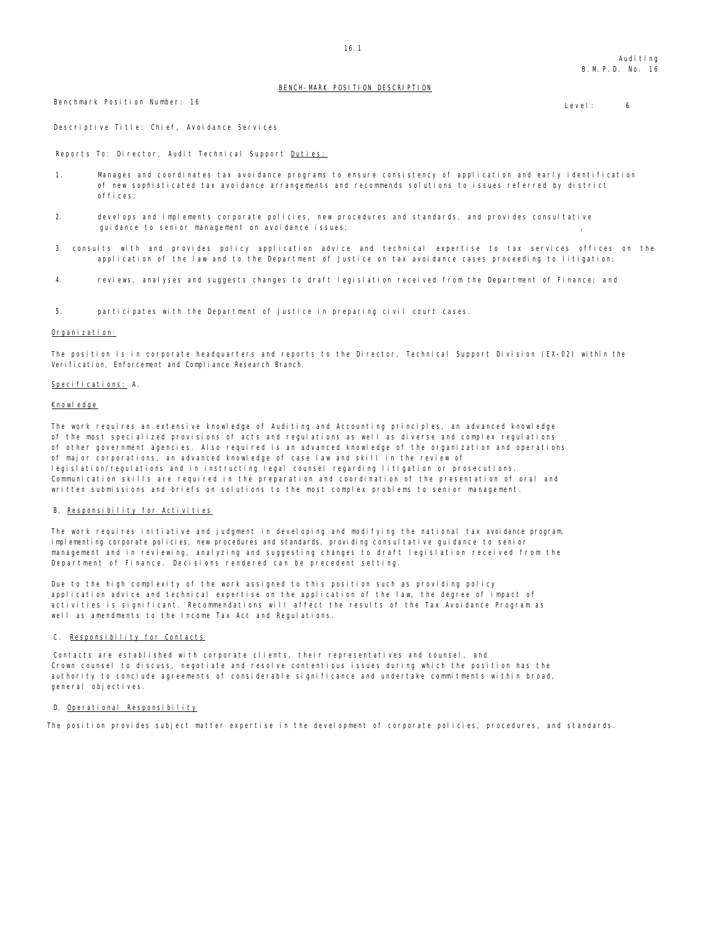Benchmark Position Number: 16 and 16 European Control of the United States of the United States of the United States of the United States of the United States of the United States of the United States of the United States

Descriptive Title: Chief, Avoidance Services

Reports To: Director, Audit Technical Support Duties:

- 1. Manages and coordinates tax avoidance programs to ensure consistency of application and early identification of new sophisticated tax avoidance arrangements and recommends solutions to issues referred by district offices;
- 2. develops and implements corporate policies, new procedures and standards, and provides consultative guidance to senior management on avoidance issues;
- 3. consults with and provides policy application advice and technical expertise to tax services offices on the application of the law and to the Department of Justice on tax avoidance cases proceeding to litigation;
- 4. reviews, analyses and suggests changes to draft legislation received from the Department of Finance; a nd
- 5. participates with the Department of Justice in preparing civil court cases.

#### Organization:

The position is in corporate headquarters and reports to the Director, Technical Support Division (EX-02) within the Verification, Enforcement and Compliance Research Branch.

#### Specifications: A.

#### Knowledge

The work requires an extensive knowledge of Auditing and Accounting principles, an advanced knowledge of the most specialized provisions of acts and regulations as well as diverse and complex regulations of other government agencies. Also required is an advanced knowledge of the organization and operations of major corporations, an advanced knowledge of case law and skill in the review of legislation/regulations and in instructing legal counsel regarding litigation or prosecutions. Communication skills are required in the preparation and coordination of the presentation of oral and written submissions and briefs on solutions to the most complex problems to senior management.

#### B. Responsibility for Activities

The work requires initiative and judgment in developing and modifying the national tax avoidance program, implementing corporate policies, new procedures and standards, providing consultative guidance to senior management and in reviewing, analyzing and suggesting changes to draft legislation received from the Department of Finance. Decisions rendered can be precedent setting.

Due to the high complexity of the work assigned to this position such as providing policy application advice and technical expertise on the application of the law, the degree of impact of activities is significant. Recommendations will affect the results of the Tax Avoidance Program as well as amendments to the Income Tax Act and Regulations.

#### C. Responsibility for Contacts

Contacts are established with corporate clients, their representatives and counsel, and Crown counsel to discuss, negotiate and resolve contentious issues during which the position has the authority to conclude agreements of considerable significance and undertake commitments within broad, general objectives.

#### D. Operational Responsibility

The position provides subject matter expertise in the development of corporate policies, procedures, and standards.